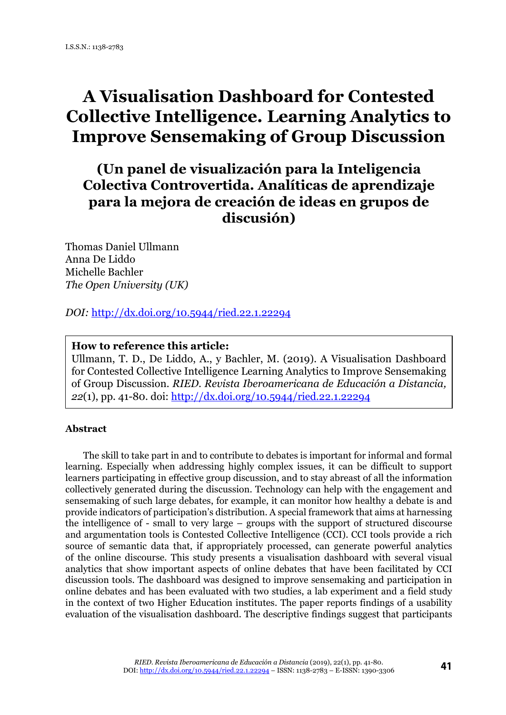# **A Visualisation Dashboard for Contested Collective Intelligence. Learning Analytics to Improve Sensemaking of Group Discussion**

# **(Un panel de visualización para la Inteligencia Colectiva Controvertida. Analíticas de aprendizaje para la mejora de creación de ideas en grupos de discusión)**

Thomas Daniel Ullmann Anna De Liddo Michelle Bachler *The Open University (UK)*

*DOI:* <http://dx.doi.org/10.5944/ried.22.1.22294>

#### **How to reference this article:**

Ullmann, T. D., De Liddo, A., y Bachler, M. (2019). A Visualisation Dashboard for Contested Collective Intelligence Learning Analytics to Improve Sensemaking of Group Discussion. *RIED. Revista Iberoamericana de Educación a Distancia, 22*(1), pp. 41-80. doi:<http://dx.doi.org/10.5944/ried.22.1.22294>

#### **Abstract**

The skill to take part in and to contribute to debates is important for informal and formal learning. Especially when addressing highly complex issues, it can be difficult to support learners participating in effective group discussion, and to stay abreast of all the information collectively generated during the discussion. Technology can help with the engagement and sensemaking of such large debates, for example, it can monitor how healthy a debate is and provide indicators of participation's distribution. A special framework that aims at harnessing the intelligence of - small to very large – groups with the support of structured discourse and argumentation tools is Contested Collective Intelligence (CCI). CCI tools provide a rich source of semantic data that, if appropriately processed, can generate powerful analytics of the online discourse. This study presents a visualisation dashboard with several visual analytics that show important aspects of online debates that have been facilitated by CCI discussion tools. The dashboard was designed to improve sensemaking and participation in online debates and has been evaluated with two studies, a lab experiment and a field study in the context of two Higher Education institutes. The paper reports findings of a usability evaluation of the visualisation dashboard. The descriptive findings suggest that participants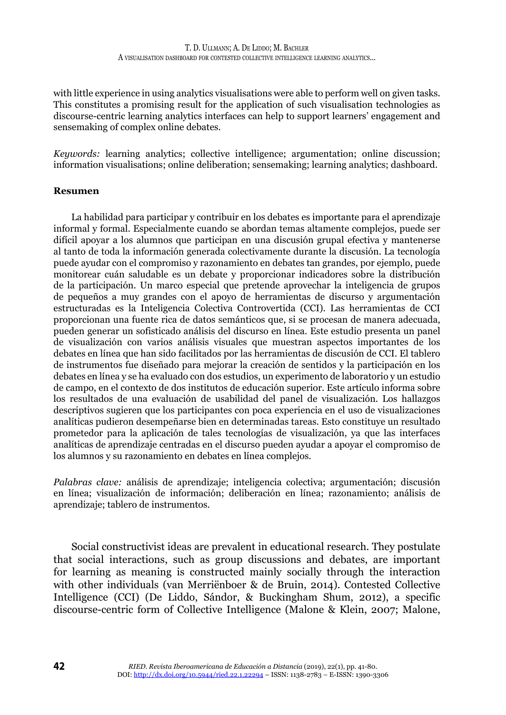with little experience in using analytics visualisations were able to perform well on given tasks. This constitutes a promising result for the application of such visualisation technologies as discourse-centric learning analytics interfaces can help to support learners' engagement and sensemaking of complex online debates.

*Keywords:* learning analytics; collective intelligence; argumentation; online discussion; information visualisations; online deliberation; sensemaking; learning analytics; dashboard.

#### **Resumen**

La habilidad para participar y contribuir en los debates es importante para el aprendizaje informal y formal. Especialmente cuando se abordan temas altamente complejos, puede ser difícil apoyar a los alumnos que participan en una discusión grupal efectiva y mantenerse al tanto de toda la información generada colectivamente durante la discusión. La tecnología puede ayudar con el compromiso y razonamiento en debates tan grandes, por ejemplo, puede monitorear cuán saludable es un debate y proporcionar indicadores sobre la distribución de la participación. Un marco especial que pretende aprovechar la inteligencia de grupos de pequeños a muy grandes con el apoyo de herramientas de discurso y argumentación estructuradas es la Inteligencia Colectiva Controvertida (CCI). Las herramientas de CCI proporcionan una fuente rica de datos semánticos que, si se procesan de manera adecuada, pueden generar un sofisticado análisis del discurso en línea. Este estudio presenta un panel de visualización con varios análisis visuales que muestran aspectos importantes de los debates en línea que han sido facilitados por las herramientas de discusión de CCI. El tablero de instrumentos fue diseñado para mejorar la creación de sentidos y la participación en los debates en línea y se ha evaluado con dos estudios, un experimento de laboratorio y un estudio de campo, en el contexto de dos institutos de educación superior. Este artículo informa sobre los resultados de una evaluación de usabilidad del panel de visualización. Los hallazgos descriptivos sugieren que los participantes con poca experiencia en el uso de visualizaciones analíticas pudieron desempeñarse bien en determinadas tareas. Esto constituye un resultado prometedor para la aplicación de tales tecnologías de visualización, ya que las interfaces analíticas de aprendizaje centradas en el discurso pueden ayudar a apoyar el compromiso de los alumnos y su razonamiento en debates en línea complejos.

*Palabras clave:* análisis de aprendizaje; inteligencia colectiva; argumentación; discusión en línea; visualización de información; deliberación en línea; razonamiento; análisis de aprendizaje; tablero de instrumentos.

Social constructivist ideas are prevalent in educational research. They postulate that social interactions, such as group discussions and debates, are important for learning as meaning is constructed mainly socially through the interaction with other individuals (van Merriënboer & de Bruin, 2014). Contested Collective Intelligence (CCI) (De Liddo, Sándor, & Buckingham Shum, 2012), a specific discourse-centric form of Collective Intelligence (Malone & Klein, 2007; Malone,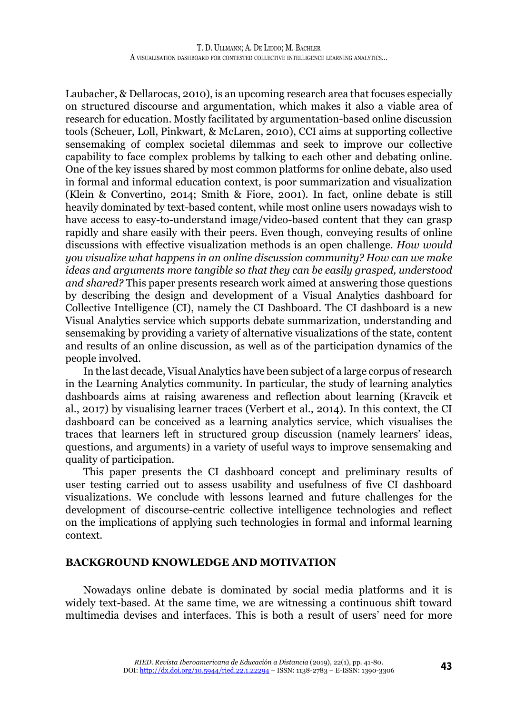Laubacher, & Dellarocas, 2010), is an upcoming research area that focuses especially on structured discourse and argumentation, which makes it also a viable area of research for education. Mostly facilitated by argumentation-based online discussion tools (Scheuer, Loll, Pinkwart, & McLaren, 2010), CCI aims at supporting collective sensemaking of complex societal dilemmas and seek to improve our collective capability to face complex problems by talking to each other and debating online. One of the key issues shared by most common platforms for online debate, also used in formal and informal education context, is poor summarization and visualization (Klein & Convertino, 2014; Smith & Fiore, 2001). In fact, online debate is still heavily dominated by text-based content, while most online users nowadays wish to have access to easy-to-understand image/video-based content that they can grasp rapidly and share easily with their peers. Even though, conveying results of online discussions with effective visualization methods is an open challenge. *How would you visualize what happens in an online discussion community? How can we make ideas and arguments more tangible so that they can be easily grasped, understood and shared?* This paper presents research work aimed at answering those questions by describing the design and development of a Visual Analytics dashboard for Collective Intelligence (CI), namely the CI Dashboard. The CI dashboard is a new Visual Analytics service which supports debate summarization, understanding and sensemaking by providing a variety of alternative visualizations of the state, content and results of an online discussion, as well as of the participation dynamics of the people involved.

In the last decade, Visual Analytics have been subject of a large corpus of research in the Learning Analytics community. In particular, the study of learning analytics dashboards aims at raising awareness and reflection about learning (Kravcik et al., 2017) by visualising learner traces (Verbert et al., 2014). In this context, the CI dashboard can be conceived as a learning analytics service, which visualises the traces that learners left in structured group discussion (namely learners' ideas, questions, and arguments) in a variety of useful ways to improve sensemaking and quality of participation.

This paper presents the CI dashboard concept and preliminary results of user testing carried out to assess usability and usefulness of five CI dashboard visualizations. We conclude with lessons learned and future challenges for the development of discourse-centric collective intelligence technologies and reflect on the implications of applying such technologies in formal and informal learning context.

#### **BACKGROUND KNOWLEDGE AND MOTIVATION**

Nowadays online debate is dominated by social media platforms and it is widely text-based. At the same time, we are witnessing a continuous shift toward multimedia devises and interfaces. This is both a result of users' need for more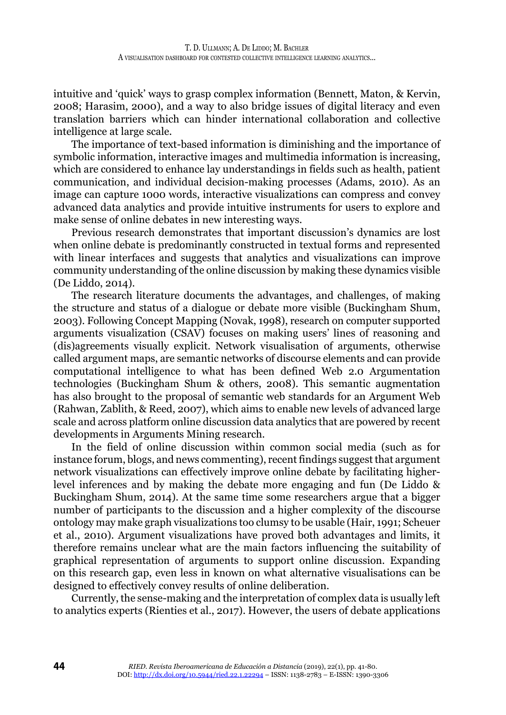intuitive and 'quick' ways to grasp complex information (Bennett, Maton, & Kervin, 2008; Harasim, 2000), and a way to also bridge issues of digital literacy and even translation barriers which can hinder international collaboration and collective intelligence at large scale.

The importance of text-based information is diminishing and the importance of symbolic information, interactive images and multimedia information is increasing, which are considered to enhance lay understandings in fields such as health, patient communication, and individual decision-making processes (Adams, 2010). As an image can capture 1000 words, interactive visualizations can compress and convey advanced data analytics and provide intuitive instruments for users to explore and make sense of online debates in new interesting ways.

Previous research demonstrates that important discussion's dynamics are lost when online debate is predominantly constructed in textual forms and represented with linear interfaces and suggests that analytics and visualizations can improve community understanding of the online discussion by making these dynamics visible (De Liddo, 2014).

The research literature documents the advantages, and challenges, of making the structure and status of a dialogue or debate more visible (Buckingham Shum, 2003). Following Concept Mapping (Novak, 1998), research on computer supported arguments visualization (CSAV) focuses on making users' lines of reasoning and (dis)agreements visually explicit. Network visualisation of arguments, otherwise called argument maps, are semantic networks of discourse elements and can provide computational intelligence to what has been defined Web 2.0 Argumentation technologies (Buckingham Shum & others, 2008). This semantic augmentation has also brought to the proposal of semantic web standards for an Argument Web (Rahwan, Zablith, & Reed, 2007), which aims to enable new levels of advanced large scale and across platform online discussion data analytics that are powered by recent developments in Arguments Mining research.

In the field of online discussion within common social media (such as for instance forum, blogs, and news commenting), recent findings suggest that argument network visualizations can effectively improve online debate by facilitating higherlevel inferences and by making the debate more engaging and fun (De Liddo & Buckingham Shum, 2014). At the same time some researchers argue that a bigger number of participants to the discussion and a higher complexity of the discourse ontology may make graph visualizations too clumsy to be usable (Hair, 1991; Scheuer et al., 2010). Argument visualizations have proved both advantages and limits, it therefore remains unclear what are the main factors influencing the suitability of graphical representation of arguments to support online discussion. Expanding on this research gap, even less in known on what alternative visualisations can be designed to effectively convey results of online deliberation.

Currently, the sense-making and the interpretation of complex data is usually left to analytics experts (Rienties et al., 2017). However, the users of debate applications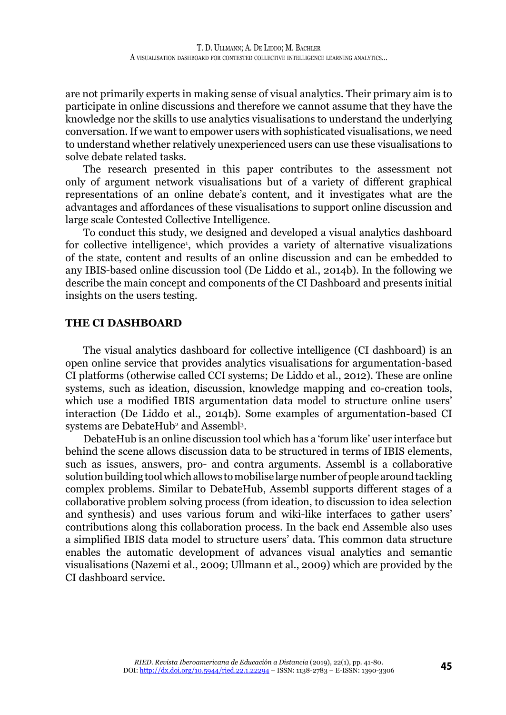are not primarily experts in making sense of visual analytics. Their primary aim is to participate in online discussions and therefore we cannot assume that they have the knowledge nor the skills to use analytics visualisations to understand the underlying conversation. If we want to empower users with sophisticated visualisations, we need to understand whether relatively unexperienced users can use these visualisations to solve debate related tasks.

The research presented in this paper contributes to the assessment not only of argument network visualisations but of a variety of different graphical representations of an online debate's content, and it investigates what are the advantages and affordances of these visualisations to support online discussion and large scale Contested Collective Intelligence.

To conduct this study, we designed and developed a visual analytics dashboard for collective intelligence<sup>1</sup>, which provides a variety of alternative visualizations of the state, content and results of an online discussion and can be embedded to any IBIS-based online discussion tool (De Liddo et al., 2014b). In the following we describe the main concept and components of the CI Dashboard and presents initial insights on the users testing.

#### **THE CI DASHBOARD**

The visual analytics dashboard for collective intelligence (CI dashboard) is an open online service that provides analytics visualisations for argumentation-based CI platforms (otherwise called CCI systems; De Liddo et al., 2012). These are online systems, such as ideation, discussion, knowledge mapping and co-creation tools, which use a modified IBIS argumentation data model to structure online users' interaction (De Liddo et al., 2014b). Some examples of argumentation-based CI systems are DebateHub<sup>2</sup> and Assembl<sup>3</sup>.

DebateHub is an online discussion tool which has a 'forum like' user interface but behind the scene allows discussion data to be structured in terms of IBIS elements, such as issues, answers, pro- and contra arguments. Assembl is a collaborative solution building tool which allows to mobilise large number of people around tackling complex problems. Similar to DebateHub, Assembl supports different stages of a collaborative problem solving process (from ideation, to discussion to idea selection and synthesis) and uses various forum and wiki-like interfaces to gather users' contributions along this collaboration process. In the back end Assemble also uses a simplified IBIS data model to structure users' data. This common data structure enables the automatic development of advances visual analytics and semantic visualisations (Nazemi et al., 2009; Ullmann et al., 2009) which are provided by the CI dashboard service.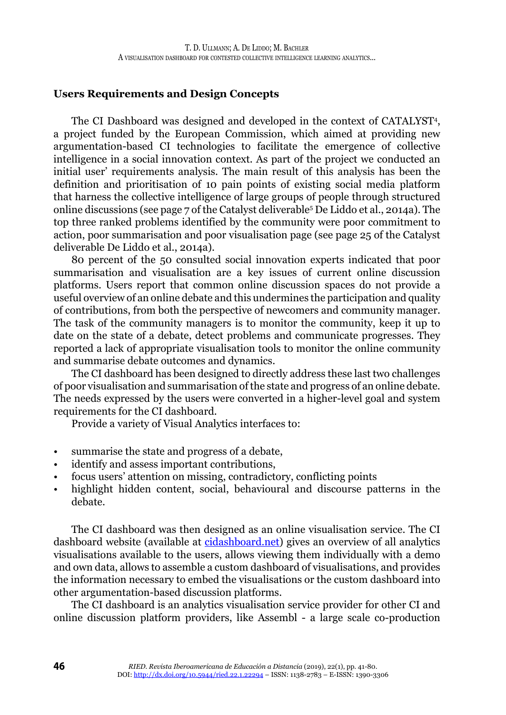#### **Users Requirements and Design Concepts**

The CI Dashboard was designed and developed in the context of CATALYST<sup>4</sup>, a project funded by the European Commission, which aimed at providing new argumentation-based CI technologies to facilitate the emergence of collective intelligence in a social innovation context. As part of the project we conducted an initial user' requirements analysis. The main result of this analysis has been the definition and prioritisation of 10 pain points of existing social media platform that harness the collective intelligence of large groups of people through structured online discussions (see page 7 of the Catalyst deliverable5 De Liddo et al., 2014a). The top three ranked problems identified by the community were poor commitment to action, poor summarisation and poor visualisation page (see page 25 of the Catalyst deliverable De Liddo et al., 2014a).

80 percent of the 50 consulted social innovation experts indicated that poor summarisation and visualisation are a key issues of current online discussion platforms. Users report that common online discussion spaces do not provide a useful overview of an online debate and this undermines the participation and quality of contributions, from both the perspective of newcomers and community manager. The task of the community managers is to monitor the community, keep it up to date on the state of a debate, detect problems and communicate progresses. They reported a lack of appropriate visualisation tools to monitor the online community and summarise debate outcomes and dynamics.

The CI dashboard has been designed to directly address these last two challenges of poor visualisation and summarisation of the state and progress of an online debate. The needs expressed by the users were converted in a higher-level goal and system requirements for the CI dashboard.

Provide a variety of Visual Analytics interfaces to:

- summarise the state and progress of a debate,
- identify and assess important contributions,
- focus users' attention on missing, contradictory, conflicting points
- highlight hidden content, social, behavioural and discourse patterns in the debate.

The CI dashboard was then designed as an online visualisation service. The CI dashboard website (available at [cidashboard.net](http://cidashboard.net)) gives an overview of all analytics visualisations available to the users, allows viewing them individually with a demo and own data, allows to assemble a custom dashboard of visualisations, and provides the information necessary to embed the visualisations or the custom dashboard into other argumentation-based discussion platforms.

The CI dashboard is an analytics visualisation service provider for other CI and online discussion platform providers, like Assembl - a large scale co-production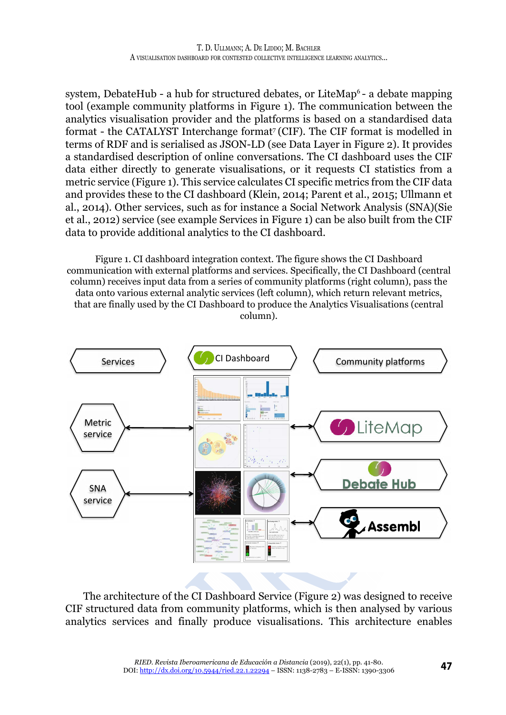system, DebateHub - a hub for structured debates, or LiteMap<sup>6</sup> - a debate mapping tool (example community platforms in Figure 1). The communication between the analytics visualisation provider and the platforms is based on a standardised data format - the CATALYST Interchange format<sup>7</sup> (CIF). The CIF format is modelled in terms of RDF and is serialised as JSON-LD (see Data Layer in Figure 2). It provides a standardised description of online conversations. The CI dashboard uses the CIF data either directly to generate visualisations, or it requests CI statistics from a metric service (Figure 1). This service calculates CI specific metrics from the CIF data and provides these to the CI dashboard (Klein, 2014; Parent et al., 2015; Ullmann et al., 2014). Other services, such as for instance a Social Network Analysis (SNA)(Sie et al., 2012) service (see example Services in Figure 1) can be also built from the CIF data to provide additional analytics to the CI dashboard.

Figure 1. CI dashboard integration context. The figure shows the CI Dashboard communication with external platforms and services. Specifically, the CI Dashboard (central column) receives input data from a series of community platforms (right column), pass the data onto various external analytic services of community productive (right commun), pass and data onto various external analytic services (left column), which return relevant metrics, ada onto various external analytic services (for column), which return refevant incrites, that are finally used by the CI Dashboard to produce the Analytics Visualisations (central column). community used by the CI Dashboard to produce the Analytics visualisations (central  $\mathop{\rm column}$  relations, that are finally used by the  $\mathbb{R}$ 



The architecture of the CI Dashboard Service (Figure 2) was designed to receive CIF structured data from community platforms, which is then analysed by various analytics services and finally produce visualisations. This architecture enables collaborative development of new powerful analytics and visualisation on top of  $\mathcal{L}$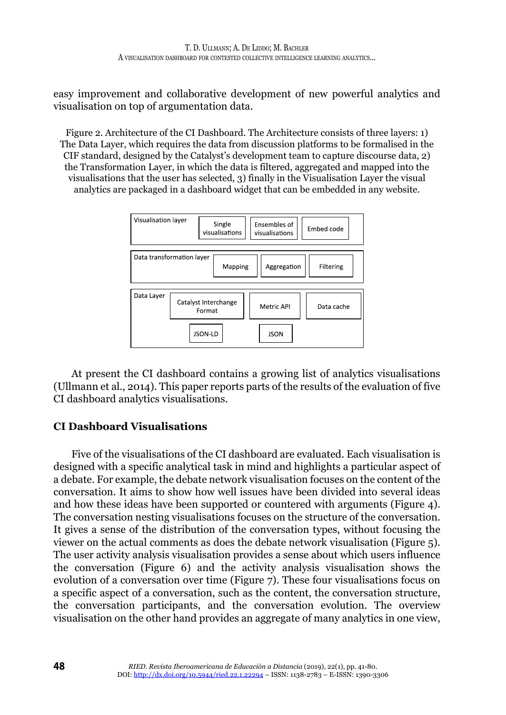easy improvement and collaborative development of new powerful analytics and visualisation on top of argumentation data.

Figure 2. Architecture of the CI Dashboard. The Architecture consists of three layers: 1) The Data Layer, which requires the data from discussion platforms to be formalised in the CIF standard, designed by the Catalyst's development team to capture discourse data, 2) the Transformation Layer, in which the data is filtered, aggregated and mapped into the visualisations that the user has selected, 3) finally in the Visualisation Layer the visual analytics are packaged in a dashboard widget that can be embedded in any website.



At present the CI dashboard contains a growing list of analytics visualisations (Ullmann et al., 2014). This paper reports parts of the results of the evaluation of five CI dashboard analytics visualisations.

#### **CI Dashboard Visualisations**

Five of the visualisations of the CI dashboard are evaluated. Each visualisation is designed with a specific analytical task in mind and highlights a particular aspect of a debate. For example, the debate network visualisation focuses on the content of the conversation. It aims to show how well issues have been divided into several ideas and how these ideas have been supported or countered with arguments (Figure 4). The conversation nesting visualisations focuses on the structure of the conversation. It gives a sense of the distribution of the conversation types, without focusing the viewer on the actual comments as does the debate network visualisation (Figure 5). The user activity analysis visualisation provides a sense about which users influence the conversation (Figure 6) and the activity analysis visualisation shows the evolution of a conversation over time (Figure 7). These four visualisations focus on a specific aspect of a conversation, such as the content, the conversation structure, the conversation participants, and the conversation evolution. The overview visualisation on the other hand provides an aggregate of many analytics in one view,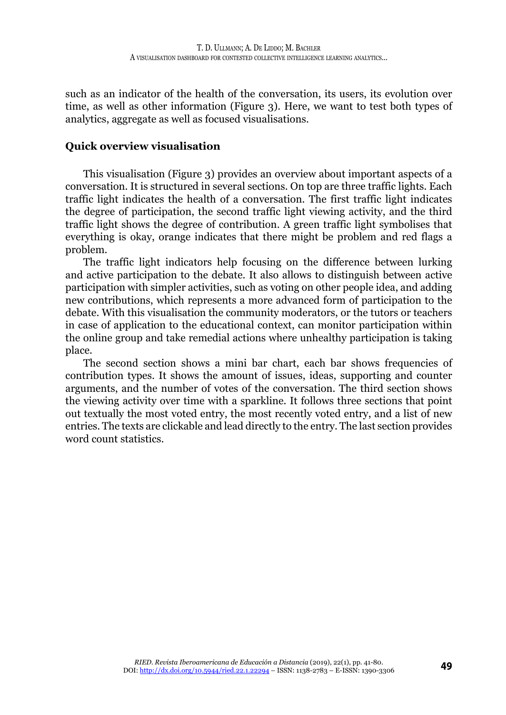such as an indicator of the health of the conversation, its users, its evolution over time, as well as other information (Figure 3). Here, we want to test both types of analytics, aggregate as well as focused visualisations.

#### **Quick overview visualisation**

This visualisation (Figure 3) provides an overview about important aspects of a conversation. It is structured in several sections. On top are three traffic lights. Each traffic light indicates the health of a conversation. The first traffic light indicates the degree of participation, the second traffic light viewing activity, and the third traffic light shows the degree of contribution. A green traffic light symbolises that everything is okay, orange indicates that there might be problem and red flags a problem.

The traffic light indicators help focusing on the difference between lurking and active participation to the debate. It also allows to distinguish between active participation with simpler activities, such as voting on other people idea, and adding new contributions, which represents a more advanced form of participation to the debate. With this visualisation the community moderators, or the tutors or teachers in case of application to the educational context, can monitor participation within the online group and take remedial actions where unhealthy participation is taking place.

The second section shows a mini bar chart, each bar shows frequencies of contribution types. It shows the amount of issues, ideas, supporting and counter arguments, and the number of votes of the conversation. The third section shows the viewing activity over time with a sparkline. It follows three sections that point out textually the most voted entry, the most recently voted entry, and a list of new entries. The texts are clickable and lead directly to the entry. The last section provides word count statistics.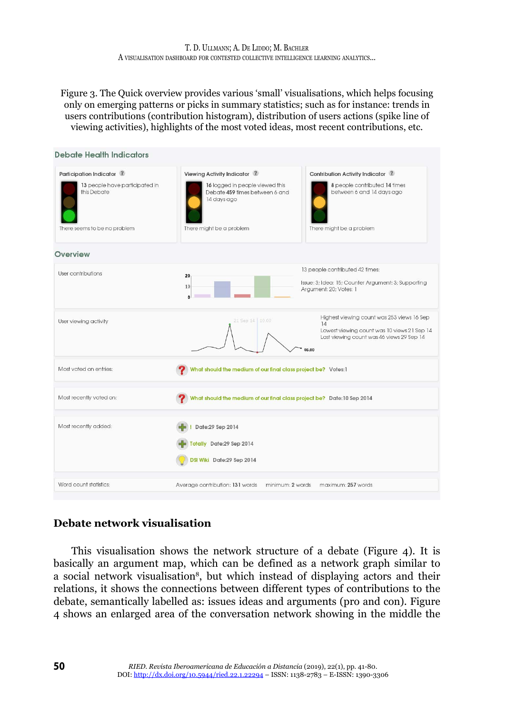Figure 3. The Quick overview provides various 'small' visualisations, which helps focusing only on emerging patterns or picks in summary statistics; such as for instance: trends in users contributions (contribution histogram), distribution of users actions (spike line of viewing activities), highlights of the most voted ideas, most recent contributions, etc.



### **Debate network visualisation**

This visualisation shows the network structure of a debate (Figure 4). It is basically an argument map, which can be defined as a network graph similar to a social network visualisation<sup>8</sup>, but which instead of displaying actors and their relations, it shows the connections between different types of contributions to the debate, semantically labelled as: issues ideas and arguments (pro and con). Figure 4 shows an enlarged area of the conversation network showing in the middle the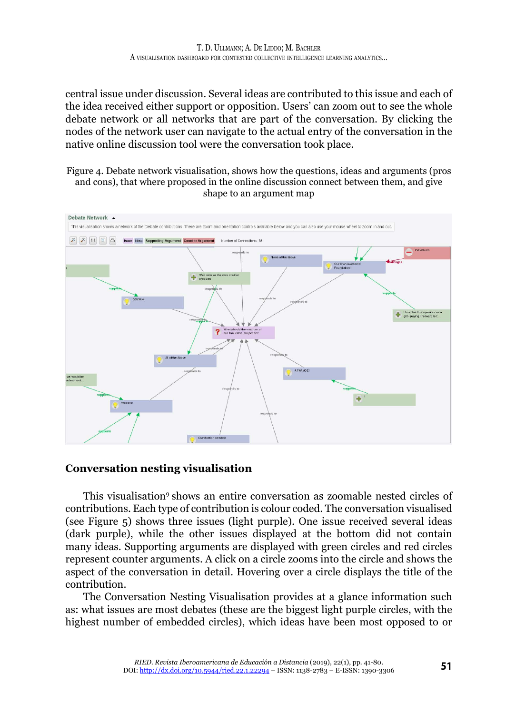central issue under discussion. Several ideas are contributed to this issue and each of the idea received either support or opposition. Users' can zoom out to see the whole debate network or all networks that are part of the conversation. By clicking the nodes of the network user can navigate to the actual entry of the conversation in the native online discussion tool were the conversation took place.

Figure 4. Debate network visualisation, shows how the questions, ideas and arguments (pros and cons), that where proposed in the online discussion connect between them, and give shape to an argument map



#### **Conversation nesting visualisation**

This visualisation9 shows an entire conversation as zoomable nested circles of contributions. Each type of contribution is colour coded. The conversation visualised (see Figure 5) shows three issues (light purple). One issue received several ideas (dark purple), while the other issues displayed at the bottom did not contain many ideas. Supporting arguments are displayed with green circles and red circles represent counter arguments. A click on a circle zooms into the circle and shows the aspect of the conversation in detail. Hovering over a circle displays the title of the contribution.

The Conversation Nesting Visualisation provides at a glance information such as: what issues are most debates (these are the biggest light purple circles, with the highest number of embedded circles), which ideas have been most opposed to or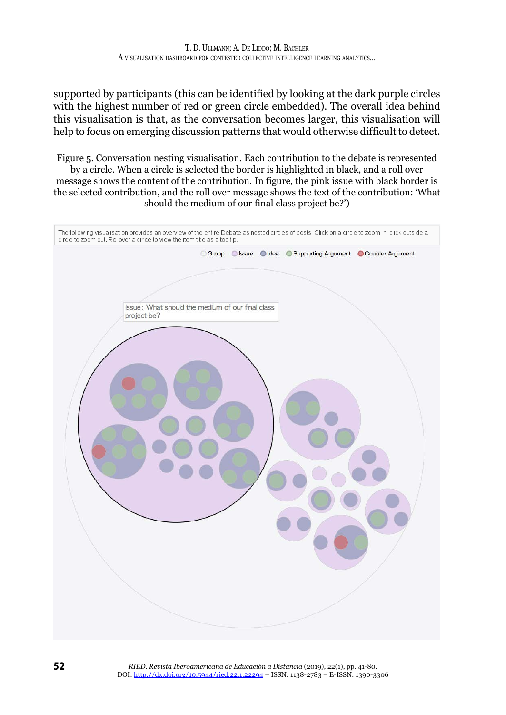supported by participants (this can be identified by looking at the dark purple circles with the highest number of red or green circle embedded). The overall idea behind this visualisation is that, as the conversation becomes larger, this visualisation will help to focus on emerging discussion patterns that would otherwise difficult to detect.

Figure 5. Conversation nesting visualisation. Each contribution to the debate is represented by a circle. When a circle is selected the border is highlighted in black, and a roll over message shows the content of the contribution. In figure, the pink issue with black border is the selected contribution, and the roll over message shows the text of the contribution: 'What should the medium of our final class project be?')

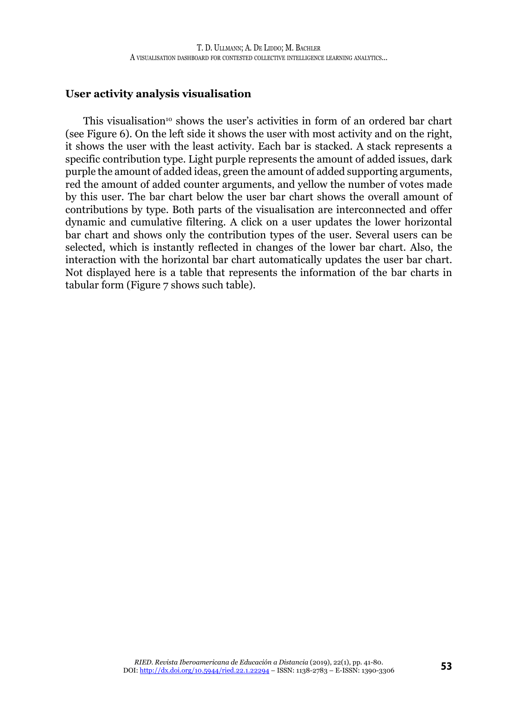#### **User activity analysis visualisation**

This visualisation<sup>10</sup> shows the user's activities in form of an ordered bar chart (see Figure 6). On the left side it shows the user with most activity and on the right, it shows the user with the least activity. Each bar is stacked. A stack represents a specific contribution type. Light purple represents the amount of added issues, dark purple the amount of added ideas, green the amount of added supporting arguments, red the amount of added counter arguments, and yellow the number of votes made by this user. The bar chart below the user bar chart shows the overall amount of contributions by type. Both parts of the visualisation are interconnected and offer dynamic and cumulative filtering. A click on a user updates the lower horizontal bar chart and shows only the contribution types of the user. Several users can be selected, which is instantly reflected in changes of the lower bar chart. Also, the interaction with the horizontal bar chart automatically updates the user bar chart. Not displayed here is a table that represents the information of the bar charts in tabular form (Figure 7 shows such table).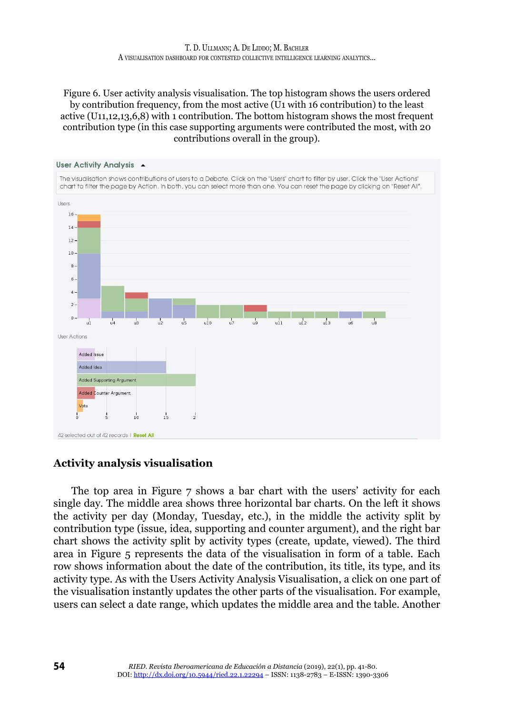Figure 6. User activity analysis visualisation. The top histogram shows the users ordered by contribution frequency, from the most active (U1 with 16 contribution) to the least active (U11,12,13,6,8) with 1 contribution. The bottom histogram shows the most frequent contribution type (in this case supporting arguments were contributed the most, with 20 contributions overall in the group).



#### **Activity analysis visualisation**

The top area in Figure 7 shows a bar chart with the users' activity for each single day. The middle area shows three horizontal bar charts. On the left it shows the activity per day (Monday, Tuesday, etc.), in the middle the activity split by contribution type (issue, idea, supporting and counter argument), and the right bar chart shows the activity split by activity types (create, update, viewed). The third area in Figure 5 represents the data of the visualisation in form of a table. Each row shows information about the date of the contribution, its title, its type, and its activity type. As with the Users Activity Analysis Visualisation, a click on one part of the visualisation instantly updates the other parts of the visualisation. For example, users can select a date range, which updates the middle area and the table. Another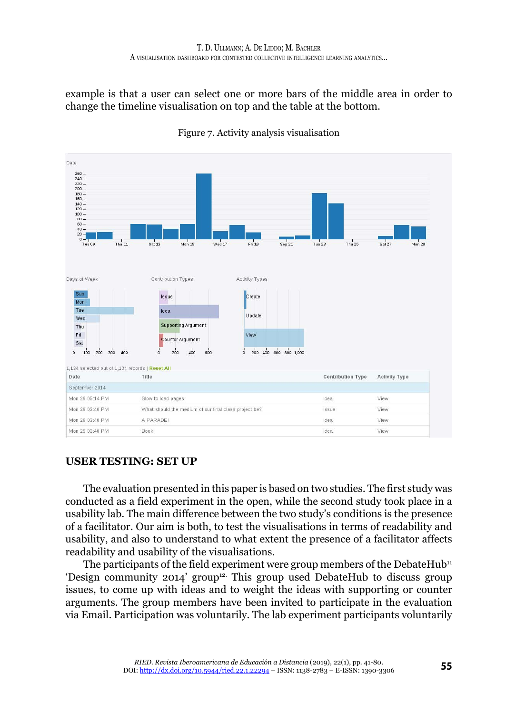example is that a user can select one or more bars of the middle area in order to change the timeline visualisation on top and the table at the bottom.



#### Figure 7. Activity analysis visualisation

#### **USER TESTING: SET UP**

The evaluation presented in this paper is based on two studies. The first study was conducted as a field experiment in the open, while the second study took place in a usability lab. The main difference between the two study's conditions is the presence of a facilitator. Our aim is both, to test the visualisations in terms of readability and usability, and also to understand to what extent the presence of a facilitator affects readability and usability of the visualisations.

The participants of the field experiment were group members of the DebateHub<sup>11</sup> 'Design community 2014' group<sup>12.</sup> This group used DebateHub to discuss group issues, to come up with ideas and to weight the ideas with supporting or counter arguments. The group members have been invited to participate in the evaluation via Email. Participation was voluntarily. The lab experiment participants voluntarily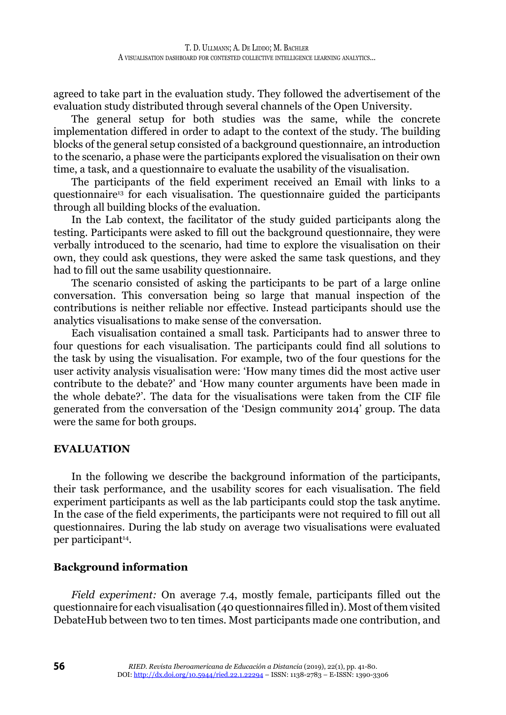agreed to take part in the evaluation study. They followed the advertisement of the evaluation study distributed through several channels of the Open University.

The general setup for both studies was the same, while the concrete implementation differed in order to adapt to the context of the study. The building blocks of the general setup consisted of a background questionnaire, an introduction to the scenario, a phase were the participants explored the visualisation on their own time, a task, and a questionnaire to evaluate the usability of the visualisation.

The participants of the field experiment received an Email with links to a questionnaire<sup>13</sup> for each visualisation. The questionnaire guided the participants through all building blocks of the evaluation.

In the Lab context, the facilitator of the study guided participants along the testing. Participants were asked to fill out the background questionnaire, they were verbally introduced to the scenario, had time to explore the visualisation on their own, they could ask questions, they were asked the same task questions, and they had to fill out the same usability questionnaire.

The scenario consisted of asking the participants to be part of a large online conversation. This conversation being so large that manual inspection of the contributions is neither reliable nor effective. Instead participants should use the analytics visualisations to make sense of the conversation.

Each visualisation contained a small task. Participants had to answer three to four questions for each visualisation. The participants could find all solutions to the task by using the visualisation. For example, two of the four questions for the user activity analysis visualisation were: 'How many times did the most active user contribute to the debate?' and 'How many counter arguments have been made in the whole debate?'. The data for the visualisations were taken from the CIF file generated from the conversation of the 'Design community 2014' group. The data were the same for both groups.

#### **EVALUATION**

In the following we describe the background information of the participants, their task performance, and the usability scores for each visualisation. The field experiment participants as well as the lab participants could stop the task anytime. In the case of the field experiments, the participants were not required to fill out all questionnaires. During the lab study on average two visualisations were evaluated per participant<sup>14</sup>.

#### **Background information**

*Field experiment:* On average 7.4, mostly female, participants filled out the questionnaire for each visualisation (40 questionnaires filled in). Most of them visited DebateHub between two to ten times. Most participants made one contribution, and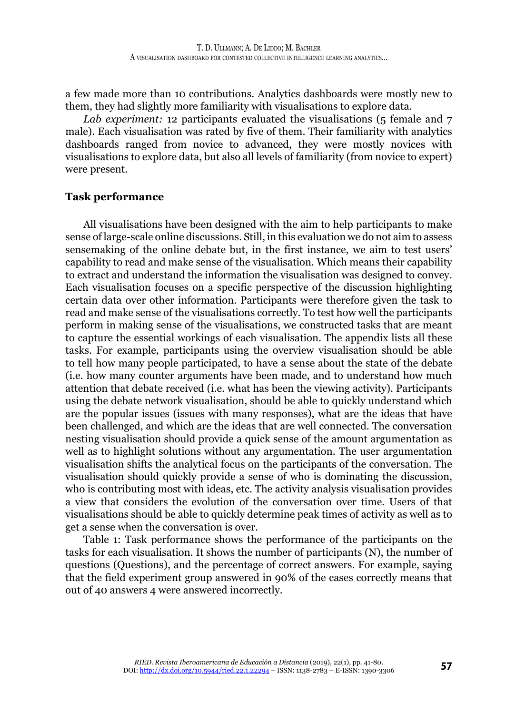a few made more than 10 contributions. Analytics dashboards were mostly new to them, they had slightly more familiarity with visualisations to explore data.

*Lab experiment:* 12 participants evaluated the visualisations (5 female and 7 male). Each visualisation was rated by five of them. Their familiarity with analytics dashboards ranged from novice to advanced, they were mostly novices with visualisations to explore data, but also all levels of familiarity (from novice to expert) were present.

#### **Task performance**

All visualisations have been designed with the aim to help participants to make sense of large-scale online discussions. Still, in this evaluation we do not aim to assess sensemaking of the online debate but, in the first instance, we aim to test users' capability to read and make sense of the visualisation. Which means their capability to extract and understand the information the visualisation was designed to convey. Each visualisation focuses on a specific perspective of the discussion highlighting certain data over other information. Participants were therefore given the task to read and make sense of the visualisations correctly. To test how well the participants perform in making sense of the visualisations, we constructed tasks that are meant to capture the essential workings of each visualisation. The appendix lists all these tasks. For example, participants using the overview visualisation should be able to tell how many people participated, to have a sense about the state of the debate (i.e. how many counter arguments have been made, and to understand how much attention that debate received (i.e. what has been the viewing activity). Participants using the debate network visualisation, should be able to quickly understand which are the popular issues (issues with many responses), what are the ideas that have been challenged, and which are the ideas that are well connected. The conversation nesting visualisation should provide a quick sense of the amount argumentation as well as to highlight solutions without any argumentation. The user argumentation visualisation shifts the analytical focus on the participants of the conversation. The visualisation should quickly provide a sense of who is dominating the discussion, who is contributing most with ideas, etc. The activity analysis visualisation provides a view that considers the evolution of the conversation over time. Users of that visualisations should be able to quickly determine peak times of activity as well as to get a sense when the conversation is over.

Table 1: Task performance shows the performance of the participants on the tasks for each visualisation. It shows the number of participants (N), the number of questions (Questions), and the percentage of correct answers. For example, saying that the field experiment group answered in 90% of the cases correctly means that out of 40 answers 4 were answered incorrectly.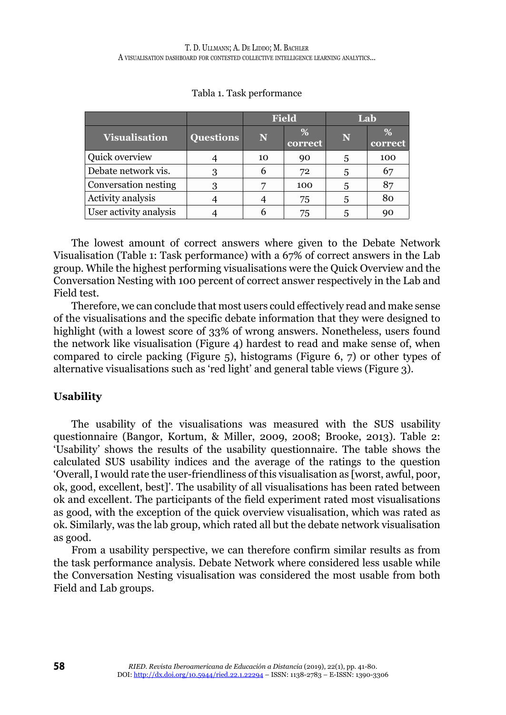|                        |                  | <b>Field</b> |              | Lab |              |
|------------------------|------------------|--------------|--------------|-----|--------------|
| <b>Visualisation</b>   | <b>Questions</b> | N            | %<br>correct | N   | %<br>correct |
| Quick overview         |                  | 10           | 90           | 5   | 100          |
| Debate network vis.    |                  |              | 72           | 5   | 67           |
| Conversation nesting   |                  |              | 100          | 5   | 87           |
| Activity analysis      |                  |              | 75           | 5   | 80           |
| User activity analysis |                  |              | 75           | 5   | 90           |

#### Tabla 1. Task performance

The lowest amount of correct answers where given to the Debate Network Visualisation (Table 1: Task performance) with a 67% of correct answers in the Lab group. While the highest performing visualisations were the Quick Overview and the Conversation Nesting with 100 percent of correct answer respectively in the Lab and Field test.

Therefore, we can conclude that most users could effectively read and make sense of the visualisations and the specific debate information that they were designed to highlight (with a lowest score of 33% of wrong answers. Nonetheless, users found the network like visualisation (Figure 4) hardest to read and make sense of, when compared to circle packing (Figure 5), histograms (Figure 6, 7) or other types of alternative visualisations such as 'red light' and general table views (Figure 3).

#### **Usability**

The usability of the visualisations was measured with the SUS usability questionnaire (Bangor, Kortum, & Miller, 2009, 2008; Brooke, 2013). Table 2: 'Usability' shows the results of the usability questionnaire. The table shows the calculated SUS usability indices and the average of the ratings to the question 'Overall, I would rate the user-friendliness of this visualisation as [worst, awful, poor, ok, good, excellent, best]'. The usability of all visualisations has been rated between ok and excellent. The participants of the field experiment rated most visualisations as good, with the exception of the quick overview visualisation, which was rated as ok. Similarly, was the lab group, which rated all but the debate network visualisation as good.

From a usability perspective, we can therefore confirm similar results as from the task performance analysis. Debate Network where considered less usable while the Conversation Nesting visualisation was considered the most usable from both Field and Lab groups.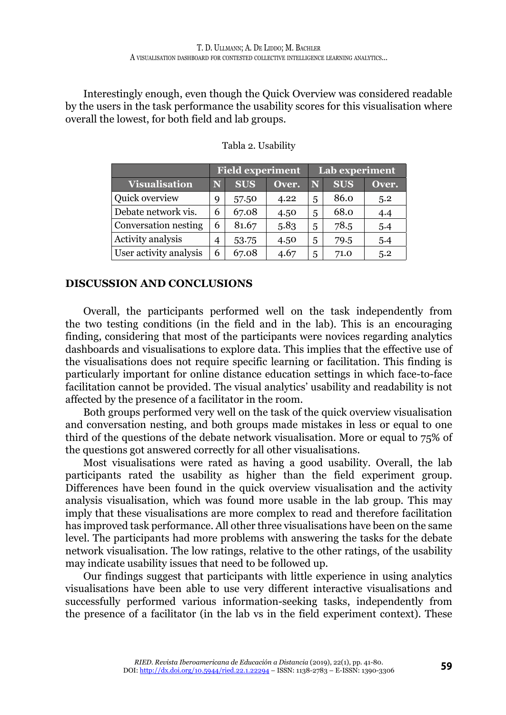Interestingly enough, even though the Quick Overview was considered readable by the users in the task performance the usability scores for this visualisation where overall the lowest, for both field and lab groups.

|                        | <b>Field experiment</b> |            |       | Lab experiment |            |       |
|------------------------|-------------------------|------------|-------|----------------|------------|-------|
| <b>Visualisation</b>   | N                       | <b>SUS</b> | Over. | N              | <b>SUS</b> | Over. |
| <b>Quick overview</b>  | 9                       | 57.50      | 4.22  | 5              | 86.0       | 5.2   |
| Debate network vis.    | 6                       | 67.08      | 4.50  | 5              | 68.0       | 4.4   |
| Conversation nesting   | 6                       | 81.67      | 5.83  | 5              | 78.5       | 5.4   |
| Activity analysis      | 4                       | 53.75      | 4.50  | 5              | 79.5       | 5.4   |
| User activity analysis | 6                       | 67.08      | 4.67  | 5              | 71.0       | 5.2   |

#### Tabla 2. Usability

#### **DISCUSSION AND CONCLUSIONS**

Overall, the participants performed well on the task independently from the two testing conditions (in the field and in the lab). This is an encouraging finding, considering that most of the participants were novices regarding analytics dashboards and visualisations to explore data. This implies that the effective use of the visualisations does not require specific learning or facilitation. This finding is particularly important for online distance education settings in which face-to-face facilitation cannot be provided. The visual analytics' usability and readability is not affected by the presence of a facilitator in the room.

Both groups performed very well on the task of the quick overview visualisation and conversation nesting, and both groups made mistakes in less or equal to one third of the questions of the debate network visualisation. More or equal to 75% of the questions got answered correctly for all other visualisations.

Most visualisations were rated as having a good usability. Overall, the lab participants rated the usability as higher than the field experiment group. Differences have been found in the quick overview visualisation and the activity analysis visualisation, which was found more usable in the lab group. This may imply that these visualisations are more complex to read and therefore facilitation has improved task performance. All other three visualisations have been on the same level. The participants had more problems with answering the tasks for the debate network visualisation. The low ratings, relative to the other ratings, of the usability may indicate usability issues that need to be followed up.

Our findings suggest that participants with little experience in using analytics visualisations have been able to use very different interactive visualisations and successfully performed various information-seeking tasks, independently from the presence of a facilitator (in the lab vs in the field experiment context). These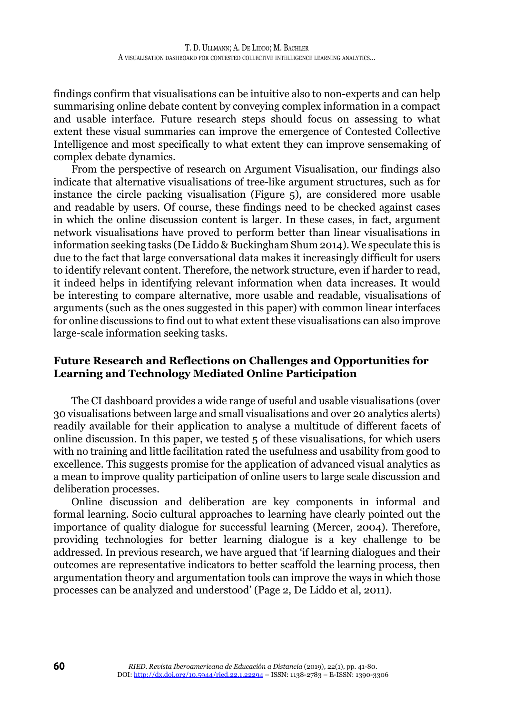findings confirm that visualisations can be intuitive also to non-experts and can help summarising online debate content by conveying complex information in a compact and usable interface. Future research steps should focus on assessing to what extent these visual summaries can improve the emergence of Contested Collective Intelligence and most specifically to what extent they can improve sensemaking of complex debate dynamics.

From the perspective of research on Argument Visualisation, our findings also indicate that alternative visualisations of tree-like argument structures, such as for instance the circle packing visualisation (Figure 5), are considered more usable and readable by users. Of course, these findings need to be checked against cases in which the online discussion content is larger. In these cases, in fact, argument network visualisations have proved to perform better than linear visualisations in information seeking tasks (De Liddo & Buckingham Shum 2014). We speculate this is due to the fact that large conversational data makes it increasingly difficult for users to identify relevant content. Therefore, the network structure, even if harder to read, it indeed helps in identifying relevant information when data increases. It would be interesting to compare alternative, more usable and readable, visualisations of arguments (such as the ones suggested in this paper) with common linear interfaces for online discussions to find out to what extent these visualisations can also improve large-scale information seeking tasks.

#### **Future Research and Reflections on Challenges and Opportunities for Learning and Technology Mediated Online Participation**

The CI dashboard provides a wide range of useful and usable visualisations (over 30 visualisations between large and small visualisations and over 20 analytics alerts) readily available for their application to analyse a multitude of different facets of online discussion. In this paper, we tested 5 of these visualisations, for which users with no training and little facilitation rated the usefulness and usability from good to excellence. This suggests promise for the application of advanced visual analytics as a mean to improve quality participation of online users to large scale discussion and deliberation processes.

Online discussion and deliberation are key components in informal and formal learning. Socio cultural approaches to learning have clearly pointed out the importance of quality dialogue for successful learning (Mercer, 2004). Therefore, providing technologies for better learning dialogue is a key challenge to be addressed. In previous research, we have argued that 'if learning dialogues and their outcomes are representative indicators to better scaffold the learning process, then argumentation theory and argumentation tools can improve the ways in which those processes can be analyzed and understood' (Page 2, De Liddo et al, 2011).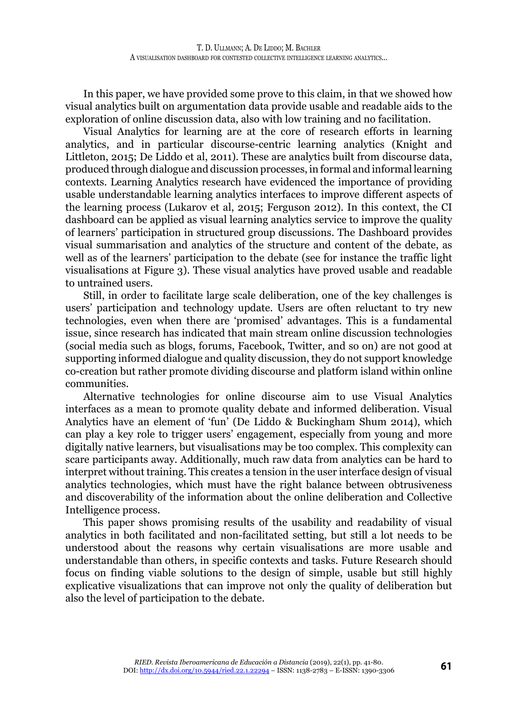In this paper, we have provided some prove to this claim, in that we showed how visual analytics built on argumentation data provide usable and readable aids to the exploration of online discussion data, also with low training and no facilitation.

Visual Analytics for learning are at the core of research efforts in learning analytics, and in particular discourse-centric learning analytics (Knight and Littleton, 2015; De Liddo et al, 2011). These are analytics built from discourse data, produced through dialogue and discussion processes, in formal and informal learning contexts. Learning Analytics research have evidenced the importance of providing usable understandable learning analytics interfaces to improve different aspects of the learning process (Lukarov et al, 2015; Ferguson 2012). In this context, the CI dashboard can be applied as visual learning analytics service to improve the quality of learners' participation in structured group discussions. The Dashboard provides visual summarisation and analytics of the structure and content of the debate, as well as of the learners' participation to the debate (see for instance the traffic light visualisations at Figure 3). These visual analytics have proved usable and readable to untrained users.

Still, in order to facilitate large scale deliberation, one of the key challenges is users' participation and technology update. Users are often reluctant to try new technologies, even when there are 'promised' advantages. This is a fundamental issue, since research has indicated that main stream online discussion technologies (social media such as blogs, forums, Facebook, Twitter, and so on) are not good at supporting informed dialogue and quality discussion, they do not support knowledge co-creation but rather promote dividing discourse and platform island within online communities.

Alternative technologies for online discourse aim to use Visual Analytics interfaces as a mean to promote quality debate and informed deliberation. Visual Analytics have an element of 'fun' (De Liddo & Buckingham Shum 2014), which can play a key role to trigger users' engagement, especially from young and more digitally native learners, but visualisations may be too complex. This complexity can scare participants away. Additionally, much raw data from analytics can be hard to interpret without training. This creates a tension in the user interface design of visual analytics technologies, which must have the right balance between obtrusiveness and discoverability of the information about the online deliberation and Collective Intelligence process.

This paper shows promising results of the usability and readability of visual analytics in both facilitated and non-facilitated setting, but still a lot needs to be understood about the reasons why certain visualisations are more usable and understandable than others, in specific contexts and tasks. Future Research should focus on finding viable solutions to the design of simple, usable but still highly explicative visualizations that can improve not only the quality of deliberation but also the level of participation to the debate.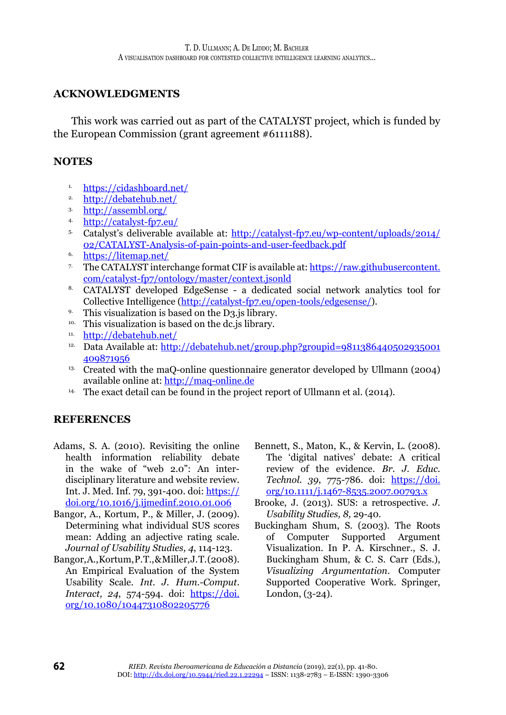#### **ACKNOWLEDGMENTS**

This work was carried out as part of the CATALYST project, which is funded by the European Commission (grant agreement #6111188).

#### **NOTES**

- 1. <https://cidashboard.net/>
- <http://debatehub.net/>
- 3. <http://assembl.org/>
- 4. <http://catalyst-fp7.eu/>
- 5. Catalyst's deliverable available at: [http://catalyst-fp7.eu/wp-content/uploads/2014/](http://catalyst-fp7.eu/wp-content/uploads/2014/02/CATALYST-Analysis-of-pain-points-and-user-feedback.pdf)  [02/CATALYST-Analysis-of-pain-points-and-user-feedback.pdf](http://catalyst-fp7.eu/wp-content/uploads/2014/02/CATALYST-Analysis-of-pain-points-and-user-feedback.pdf)
- 6. <https://litemap.net/>
- 7. The CATALYST interchange format CIF is available at: [https://raw.githubusercontent.](https://raw.githubusercontent.com/catalyst-fp7/ontology/master/context.jsonld) [com/catalyst-fp7/ontology/master/context.jsonld](https://raw.githubusercontent.com/catalyst-fp7/ontology/master/context.jsonld)
- 8. CATALYST developed EdgeSense a dedicated social network analytics tool for Collective Intelligence ([http://catalyst-fp7.eu/open-tools/edgesense/\)](http://catalyst-fp7.eu/open-tools/edgesense/).
- 9. This visualization is based on the D3.js library.
- 10. This visualization is based on the dc.js library.
- 11. <http://debatehub.net/>
- <sup>12.</sup> Data Available at: http://debatehub.net/group.php?groupid=9811386440502935001 [409871956](http://debatehub.net/group.php?groupid=9811386440502935001409871956)
- 13. Created with the maQ-online questionnaire generator developed by Ullmann (2004) available online at: <http://maq-online.de>
- <sup>14</sup> The exact detail can be found in the project report of Ullmann et al. (2014).

#### **REFERENCES**

- Adams, S. A. (2010). Revisiting the online health information reliability debate in the wake of "web 2.0": An interdisciplinary literature and website review. Int. J. Med. Inf. 79, 391-400. doi: [https://](https://doi.org/10.1016/j.ijmedinf.2010.01.006) [doi.org/10.1016/j.ijmedinf.2010.01.006](https://doi.org/10.1016/j.ijmedinf.2010.01.006)
- Bangor, A., Kortum, P., & Miller, J. (2009). Determining what individual SUS scores mean: Adding an adjective rating scale. *Journal of Usability Studies, 4*, 114-123.
- Bangor, A., Kortum, P. T., & Miller, J. T. (2008). An Empirical Evaluation of the System Usability Scale. *Int. J. Hum.-Comput. Interact, 24*, 574-594. doi: [https://doi.](https://doi.org/10.1080/10447310802205776) [org/10.1080/10447310802205776](https://doi.org/10.1080/10447310802205776)
- Bennett, S., Maton, K., & Kervin, L. (2008). The 'digital natives' debate: A critical review of the evidence. *Br. J. Educ. Technol. 39*, 775-786. doi: [https://doi.](https://doi.org/10.1111/j.1467-8535.2007.00793.x) [org/10.1111/j.1467-8535.2007.00793.x](https://doi.org/10.1111/j.1467-8535.2007.00793.x)
- Brooke, J. (2013). SUS: a retrospective. *J. Usability Studies, 8,* 29-40.
- Buckingham Shum, S. (2003). The Roots of Computer Supported Argument Visualization. In P. A. Kirschner., S. J. Buckingham Shum, & C. S. Carr (Eds.), *Visualizing Argumentation*. Computer Supported Cooperative Work. Springer, London, (3-24).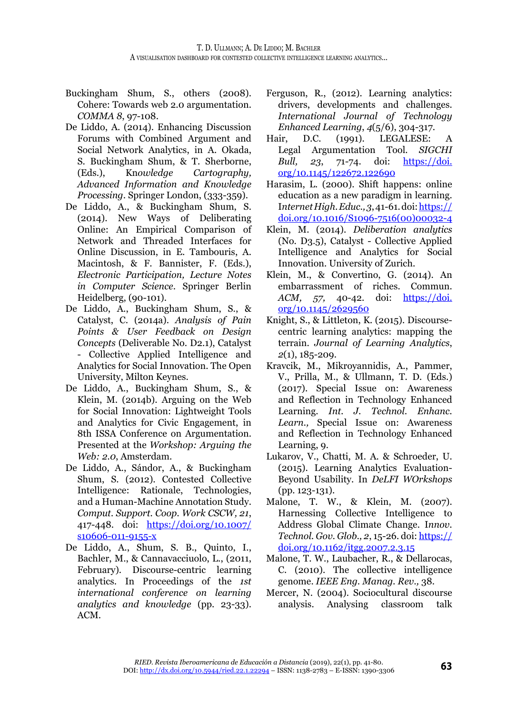- Buckingham Shum, S., others (2008). Cohere: Towards web 2.0 argumentation. *COMMA 8*, 97-108.
- De Liddo, A. (2014). Enhancing Discussion Forums with Combined Argument and Social Network Analytics, in A. Okada, S. Buckingham Shum, & T. Sherborne, (Eds.), Kn*owledge Cartography, Advanced Information and Knowledge Processing*. Springer London, (333-359).
- De Liddo, A., & Buckingham Shum, S. (2014). New Ways of Deliberating Online: An Empirical Comparison of Network and Threaded Interfaces for Online Discussion, in E. Tambouris, A. Macintosh, & F. Bannister, F. (Eds.), *Electronic Participation, Lecture Notes in Computer Science*. Springer Berlin Heidelberg, (90-101).
- De Liddo, A., Buckingham Shum, S., & Catalyst, C. (2014a). *Analysis of Pain Points & User Feedback on Design Concepts* (Deliverable No. D2.1), Catalyst - Collective Applied Intelligence and Analytics for Social Innovation. The Open University, Milton Keynes.
- De Liddo, A., Buckingham Shum, S., & Klein, M. (2014b). Arguing on the Web for Social Innovation: Lightweight Tools and Analytics for Civic Engagement, in 8th ISSA Conference on Argumentation. Presented at the *Workshop: Arguing the Web: 2.0*, Amsterdam.
- De Liddo, A., Sándor, A., & Buckingham Shum, S. (2012). Contested Collective Intelligence: Rationale, Technologies, and a Human-Machine Annotation Study. *Comput. Support. Coop. Work CSCW, 21*, 417-448. doi: [https://doi.org/10.1007/](https://doi.org/10.1007/s10606-011-9155-x) [s10606-011-9155-x](https://doi.org/10.1007/s10606-011-9155-x)
- De Liddo, A., Shum, S. B., Quinto, I., Bachler, M., & Cannavacciuolo, L., (2011, February). Discourse-centric learning analytics. In Proceedings of the *1st international conference on learning analytics and knowledge* (pp. 23-33). ACM.
- Ferguson, R., (2012). Learning analytics: drivers, developments and challenges. *International Journal of Technology Enhanced Learning*, *4*(5/6), 304-317.
- Hair, D.C. (1991). LEGALESE: A Legal Argumentation Tool. *SIGCHI Bull, 23*, 71-74. doi: [https://doi.](https://doi.org/10.1145/122672.122690) [org/10.1145/122672.122690](https://doi.org/10.1145/122672.122690)
- Harasim, L. (2000). Shift happens: online education as a new paradigm in learning. I*nternet High. Educ., 3*, 41-61. doi: [https://](https://doi.org/10.1016/S1096-7516(00)00032-4) [doi.org/10.1016/S1096-7516\(00\)00032-4](https://doi.org/10.1016/S1096-7516(00)00032-4)
- Klein, M. (2014). *Deliberation analytics* (No. D3.5), Catalyst - Collective Applied Intelligence and Analytics for Social Innovation. University of Zurich.
- Klein, M., & Convertino, G. (2014). An embarrassment of riches. Commun. *ACM, 57,* 40-42. doi: [https://doi.](https://doi.org/10.1145/2629560) [org/10.1145/2629560](https://doi.org/10.1145/2629560)
- Knight, S., & Littleton, K. (2015). Discoursecentric learning analytics: mapping the terrain. *Journal of Learning Analytics*, *2*(1), 185-209.
- Kravcik, M., Mikroyannidis, A., Pammer, V., Prilla, M., & Ullmann, T. D. (Eds.) (2017). Special Issue on: Awareness and Reflection in Technology Enhanced Learning. *Int. J. Technol. Enhanc. Learn.,* Special Issue on: Awareness and Reflection in Technology Enhanced Learning, 9.
- Lukarov, V., Chatti, M. A. & Schroeder, U. (2015). Learning Analytics Evaluation-Beyond Usability. In *DeLFI WOrkshops*  (pp. 123-131).
- Malone, T. W., & Klein, M. (2007). Harnessing Collective Intelligence to Address Global Climate Change. I*nnov. Technol. Gov. Glob., 2*, 15-26. doi: [https://](https://doi.org/10.1162/itgg.2007.2.3.15) [doi.org/10.1162/itgg.2007.2.3.15](https://doi.org/10.1162/itgg.2007.2.3.15)
- Malone, T. W., Laubacher, R., & Dellarocas, C. (2010). The collective intelligence genome. *IEEE Eng. Manag. Rev.,* 38.
- Mercer, N. (2004). Sociocultural discourse analysis. Analysing classroom talk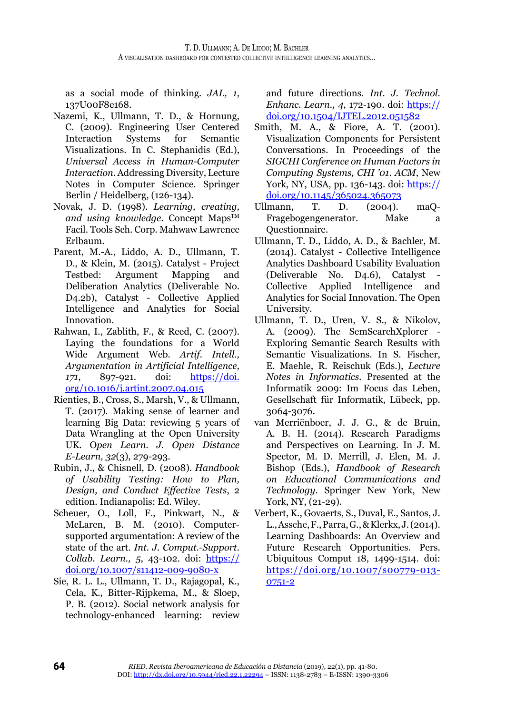as a social mode of thinking. *JAL, 1*, 137U00F8e168.

- Nazemi, K., Ullmann, T. D., & Hornung, C. (2009). Engineering User Centered Interaction Systems for Semantic Visualizations. In C. Stephanidis (Ed.), *Universal Access in Human-Computer Interaction*. Addressing Diversity, Lecture Notes in Computer Science. Springer Berlin / Heidelberg, (126-134).
- Novak, J. D. (1998). *Learning, creating, and using knowledge*. Concept Maps™ Facil. Tools Sch. Corp. Mahwaw Lawrence Erlbaum.
- Parent, M.-A., Liddo, A. D., Ullmann, T. D., & Klein, M. (2015). Catalyst - Project Testbed: Argument Mapping and Deliberation Analytics (Deliverable No. D4.2b), Catalyst - Collective Applied Intelligence and Analytics for Social Innovation.
- Rahwan, I., Zablith, F., & Reed, C. (2007). Laying the foundations for a World Wide Argument Web. *Artif. Intell., Argumentation in Artificial Intelligence, 171*, 897-921. doi: [https://doi.](https://doi.org/10.1016/j.artint.2007.04.015) [org/10.1016/j.artint.2007.04.015](https://doi.org/10.1016/j.artint.2007.04.015)
- Rienties, B., Cross, S., Marsh, V., & Ullmann, T. (2017). Making sense of learner and learning Big Data: reviewing 5 years of Data Wrangling at the Open University UK. O*pen Learn. J. Open Distance E-Learn, 32*(3), 279-293.
- Rubin, J., & Chisnell, D. (2008). *Handbook of Usability Testing: How to Plan, Design, and Conduct Effective Tests*, 2 edition. Indianapolis: Ed. Wiley.
- Scheuer, O., Loll, F., Pinkwart, N., & McLaren, B. M. (2010). Computersupported argumentation: A review of the state of the art. *Int. J. Comput.-Support. Collab. Learn., 5*, 43-102. doi: [https://](https://doi.org/10.1007/s11412-009-9080-x) [doi.org/10.1007/s11412-009-9080-x](https://doi.org/10.1007/s11412-009-9080-x)
- Sie, R. L. L., Ullmann, T. D., Rajagopal, K., Cela, K., Bitter-Rijpkema, M., & Sloep, P. B. (2012). Social network analysis for technology-enhanced learning: review

and future directions. *Int. J. Technol. Enhanc. Learn., 4*, 172-190. doi: [https://](https://doi.org/10.1504/IJTEL.2012.051582) [doi.org/10.1504/IJTEL.2012.051582](https://doi.org/10.1504/IJTEL.2012.051582)

- Smith, M. A., & Fiore, A. T. (2001). Visualization Components for Persistent Conversations. In Proceedings of the *SIGCHI Conference on Human Factors in Computing Systems, CHI '01. ACM*, New York, NY, USA, pp. 136-143. doi: [https://](https://doi.org/10.1145/365024.365073) [doi.org/10.1145/365024.365073](https://doi.org/10.1145/365024.365073)
- Ullmann, T. D. (2004). maQ-Fragebogengenerator. Make a Questionnaire.
- Ullmann, T. D., Liddo, A. D., & Bachler, M. (2014). Catalyst - Collective Intelligence Analytics Dashboard Usability Evaluation (Deliverable No. D4.6), Catalyst Collective Applied Intelligence and Analytics for Social Innovation. The Open University.
- Ullmann, T. D., Uren, V. S., & Nikolov, A. (2009). The SemSearchXplorer - Exploring Semantic Search Results with Semantic Visualizations. In S. Fischer, E. Maehle, R. Reischuk (Eds.), *Lecture Notes in Informatics.* Presented at the Informatik 2009: Im Focus das Leben, Gesellschaft für Informatik, Lübeck, pp. 3064-3076.
- van Merriënboer, J. J. G., & de Bruin, A. B. H. (2014). Research Paradigms and Perspectives on Learning. In J. M. Spector, M. D. Merrill, J. Elen, M. J. Bishop (Eds.), *Handbook of Research on Educational Communications and Technology*. Springer New York, New York, NY, (21-29).
- Verbert, K., Govaerts, S., Duval, E., Santos, J. L., Assche, F., Parra, G., & Klerkx, J. (2014). Learning Dashboards: An Overview and Future Research Opportunities. Pers. Ubiquitous Comput 18, 1499-1514. doi: [https://doi.org/10.1007/s00779-013-](https://doi.org/10.1007/s00779-013-0751-2) [0751-2](https://doi.org/10.1007/s00779-013-0751-2)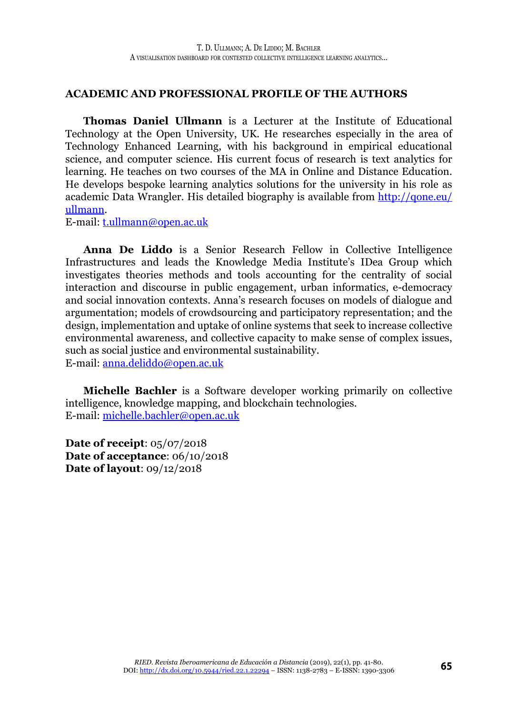#### **ACADEMIC AND PROFESSIONAL PROFILE OF THE AUTHORS**

**Thomas Daniel Ullmann** is a Lecturer at the Institute of Educational Technology at the Open University, UK. He researches especially in the area of Technology Enhanced Learning, with his background in empirical educational science, and computer science. His current focus of research is text analytics for learning. He teaches on two courses of the MA in Online and Distance Education. He develops bespoke learning analytics solutions for the university in his role as academic Data Wrangler. His detailed biography is available from [http://qone.eu/](http://qone.eu/ullmann) [ullmann.](http://qone.eu/ullmann)

E-mail: [t.ullmann@open.ac.uk](mailto:t.ullmann@open.ac.uk)

**Anna De Liddo** is a Senior Research Fellow in Collective Intelligence Infrastructures and leads the Knowledge Media Institute's IDea Group which investigates theories methods and tools accounting for the centrality of social interaction and discourse in public engagement, urban informatics, e-democracy and social innovation contexts. Anna's research focuses on models of dialogue and argumentation; models of crowdsourcing and participatory representation; and the design, implementation and uptake of online systems that seek to increase collective environmental awareness, and collective capacity to make sense of complex issues, such as social justice and environmental sustainability. E-mail: [anna.deliddo@open.ac.uk](mailto:anna.deliddo@open.ac.uk)

**Michelle Bachler** is a Software developer working primarily on collective intelligence, knowledge mapping, and blockchain technologies. E-mail: [michelle.bachler@open.ac.uk](mailto:michelle.bachler@open.ac.uk)

**Date of receipt**: 05/07/2018 **Date of acceptance**: 06/10/2018 **Date of layout**: 09/12/2018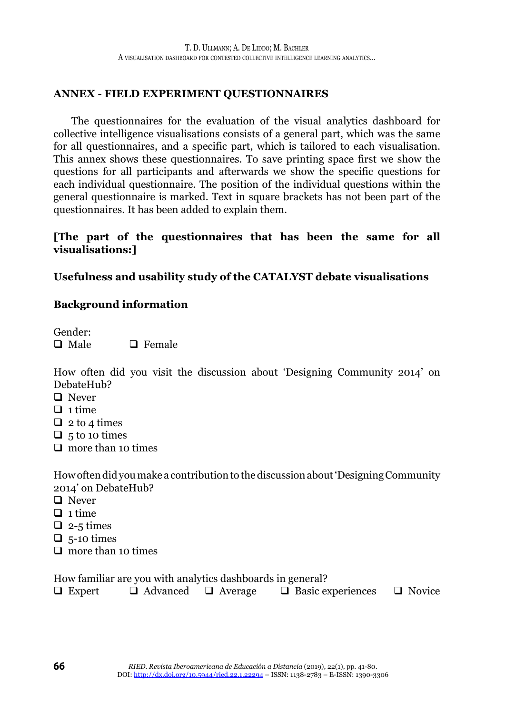#### **ANNEX - FIELD EXPERIMENT QUESTIONNAIRES**

The questionnaires for the evaluation of the visual analytics dashboard for collective intelligence visualisations consists of a general part, which was the same for all questionnaires, and a specific part, which is tailored to each visualisation. This annex shows these questionnaires. To save printing space first we show the questions for all participants and afterwards we show the specific questions for each individual questionnaire. The position of the individual questions within the general questionnaire is marked. Text in square brackets has not been part of the questionnaires. It has been added to explain them.

#### **[The part of the questionnaires that has been the same for all visualisations:]**

#### **Usefulness and usability study of the CATALYST debate visualisations**

#### **Background information**

Gender:  $\Box$  Male  $\Box$  Female

How often did you visit the discussion about 'Designing Community 2014' on DebateHub?

- □ Never
- $\Box$  1 time
- $\Box$  2 to 4 times
- $\Box$  5 to 10 times
- □ more than 10 times

How often did you make a contribution to the discussion about 'Designing Community 2014' on DebateHub?

- □ Never
- $\Box$  1 time
- $\Box$  2-5 times
- $\Box$  5-10 times
- $\Box$  more than 10 times

|  |  | How familiar are you with analytics dashboards in general? |  |
|--|--|------------------------------------------------------------|--|
|  |  |                                                            |  |

 $\Box$  Expert  $\Box$  Advanced  $\Box$  Average  $\Box$  Basic experiences  $\Box$  Novice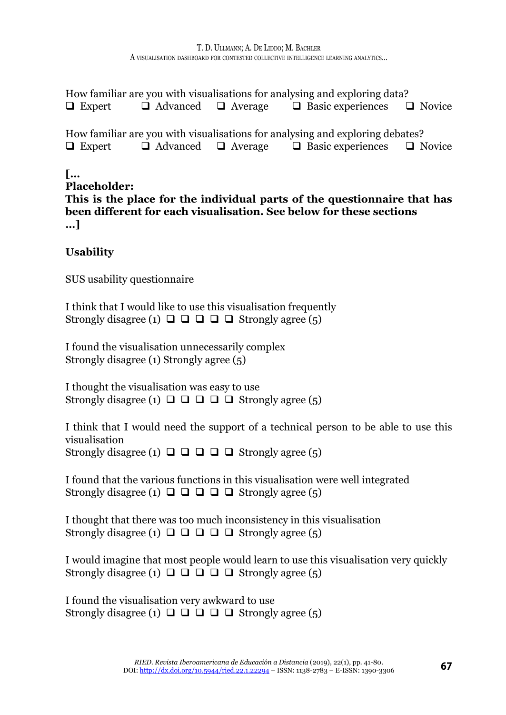How familiar are you with visualisations for analysing and exploring data?  $\Box$  Expert  $\Box$  Advanced  $\Box$  Average  $\Box$  Basic experiences  $\Box$  Novice

How familiar are you with visualisations for analysing and exploring debates?  $\Box$  Expert  $\Box$  Advanced  $\Box$  Average  $\Box$  Basic experiences  $\Box$  Novice

#### **[… Placeholder: This is the place for the individual parts of the questionnaire that has been different for each visualisation. See below for these sections …]**

### **Usability**

SUS usability questionnaire

I think that I would like to use this visualisation frequently Strongly disagree (1)  $\Box$   $\Box$   $\Box$   $\Box$  Strongly agree (5)

I found the visualisation unnecessarily complex Strongly disagree (1) Strongly agree (5)

I thought the visualisation was easy to use Strongly disagree (1)  $\Box$   $\Box$   $\Box$   $\Box$  Strongly agree (5)

I think that I would need the support of a technical person to be able to use this visualisation Strongly disagree (1)  $\Box$   $\Box$   $\Box$   $\Box$  Strongly agree (5)

I found that the various functions in this visualisation were well integrated Strongly disagree (1)  $\Box$   $\Box$   $\Box$   $\Box$   $\Box$  Strongly agree (5)

I thought that there was too much inconsistency in this visualisation Strongly disagree (1)  $\Box$   $\Box$   $\Box$   $\Box$  Strongly agree (5)

I would imagine that most people would learn to use this visualisation very quickly Strongly disagree (1)  $\Box$   $\Box$   $\Box$   $\Box$   $\Box$  Strongly agree (5)

I found the visualisation very awkward to use Strongly disagree (1)  $\Box$   $\Box$   $\Box$   $\Box$  Strongly agree (5)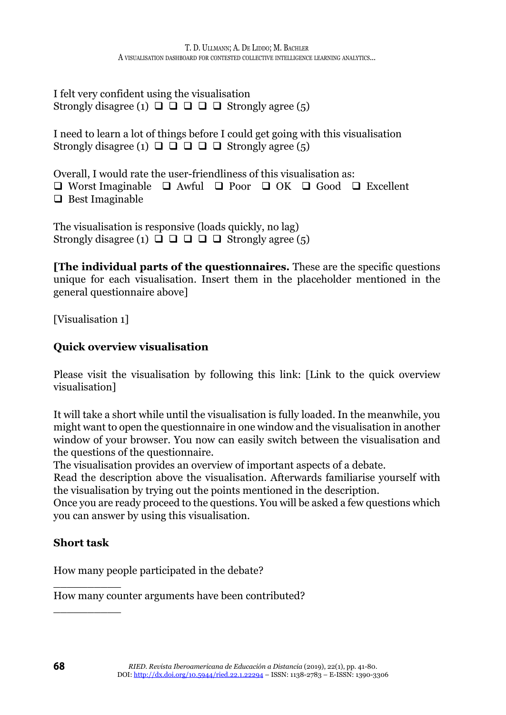I felt very confident using the visualisation Strongly disagree (1)  $\Box$   $\Box$   $\Box$   $\Box$  Strongly agree (5)

I need to learn a lot of things before I could get going with this visualisation Strongly disagree (1)  $\Box$   $\Box$   $\Box$   $\Box$  Strongly agree (5)

Overall, I would rate the user-friendliness of this visualisation as:  $\Box$  Worst Imaginable  $\Box$  Awful  $\Box$  Poor  $\Box$  OK  $\Box$  Good  $\Box$  Excellent  $\Box$  Best Imaginable

The visualisation is responsive (loads quickly, no lag) Strongly disagree (1)  $\Box$   $\Box$   $\Box$   $\Box$  Strongly agree (5)

**[The individual parts of the questionnaires.** These are the specific questions unique for each visualisation. Insert them in the placeholder mentioned in the general questionnaire above]

[Visualisation 1]

### **Quick overview visualisation**

Please visit the visualisation by following this link: [Link to the quick overview visualisation]

It will take a short while until the visualisation is fully loaded. In the meanwhile, you might want to open the questionnaire in one window and the visualisation in another window of your browser. You now can easily switch between the visualisation and the questions of the questionnaire.

The visualisation provides an overview of important aspects of a debate.

Read the description above the visualisation. Afterwards familiarise yourself with the visualisation by trying out the points mentioned in the description.

Once you are ready proceed to the questions. You will be asked a few questions which you can answer by using this visualisation.

### **Short task**

 $\overline{\phantom{a}}$  , where  $\overline{\phantom{a}}$  , where  $\overline{\phantom{a}}$ 

How many people participated in the debate?

\_\_\_\_\_\_\_\_\_\_ How many counter arguments have been contributed?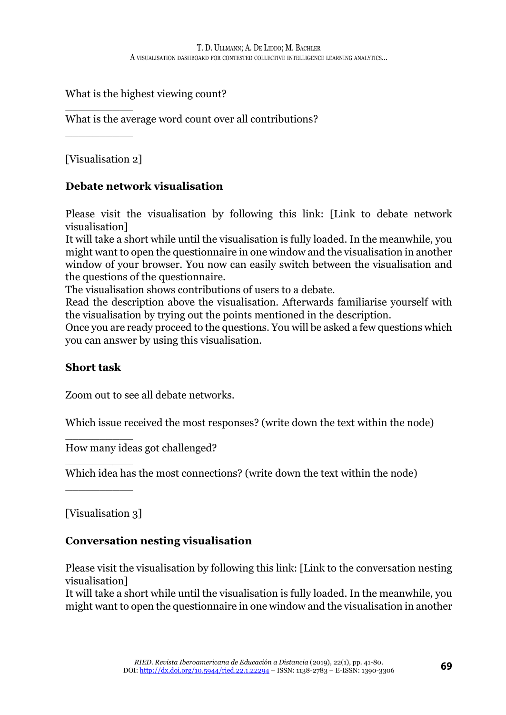What is the highest viewing count?

 $\overline{\phantom{a}}$  , where  $\overline{\phantom{a}}$ What is the average word count over all contributions?

[Visualisation 2]

 $\overline{\phantom{a}}$  , where  $\overline{\phantom{a}}$ 

### **Debate network visualisation**

Please visit the visualisation by following this link: [Link to debate network visualisation]

It will take a short while until the visualisation is fully loaded. In the meanwhile, you might want to open the questionnaire in one window and the visualisation in another window of your browser. You now can easily switch between the visualisation and the questions of the questionnaire.

The visualisation shows contributions of users to a debate.

Read the description above the visualisation. Afterwards familiarise yourself with the visualisation by trying out the points mentioned in the description.

Once you are ready proceed to the questions. You will be asked a few questions which you can answer by using this visualisation.

#### **Short task**

Zoom out to see all debate networks.

Which issue received the most responses? (write down the text within the node)

\_\_\_\_\_\_\_\_\_\_ How many ideas got challenged?

\_\_\_\_\_\_\_\_\_\_ Which idea has the most connections? (write down the text within the node)

[Visualisation 3]

\_\_\_\_\_\_\_\_\_\_

### **Conversation nesting visualisation**

Please visit the visualisation by following this link: [Link to the conversation nesting visualisation]

It will take a short while until the visualisation is fully loaded. In the meanwhile, you might want to open the questionnaire in one window and the visualisation in another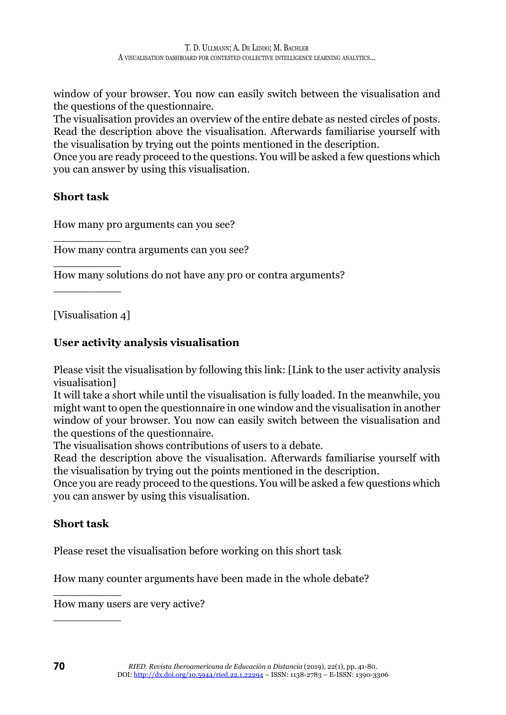window of your browser. You now can easily switch between the visualisation and the questions of the questionnaire.

The visualisation provides an overview of the entire debate as nested circles of posts. Read the description above the visualisation. Afterwards familiarise yourself with the visualisation by trying out the points mentioned in the description.

Once you are ready proceed to the questions. You will be asked a few questions which you can answer by using this visualisation.

### **Short task**

How many pro arguments can you see?

\_\_\_\_\_\_\_\_\_\_ How many contra arguments can you see?

\_\_\_\_\_\_\_\_\_\_ How many solutions do not have any pro or contra arguments?

[Visualisation 4]

\_\_\_\_\_\_\_\_\_\_

### **User activity analysis visualisation**

Please visit the visualisation by following this link: [Link to the user activity analysis visualisation]

It will take a short while until the visualisation is fully loaded. In the meanwhile, you might want to open the questionnaire in one window and the visualisation in another window of your browser. You now can easily switch between the visualisation and the questions of the questionnaire.

The visualisation shows contributions of users to a debate.

Read the description above the visualisation. Afterwards familiarise yourself with the visualisation by trying out the points mentioned in the description.

Once you are ready proceed to the questions. You will be asked a few questions which you can answer by using this visualisation.

### **Short task**

\_\_\_\_\_\_\_\_\_\_

Please reset the visualisation before working on this short task

How many counter arguments have been made in the whole debate?

\_\_\_\_\_\_\_\_\_\_ How many users are very active?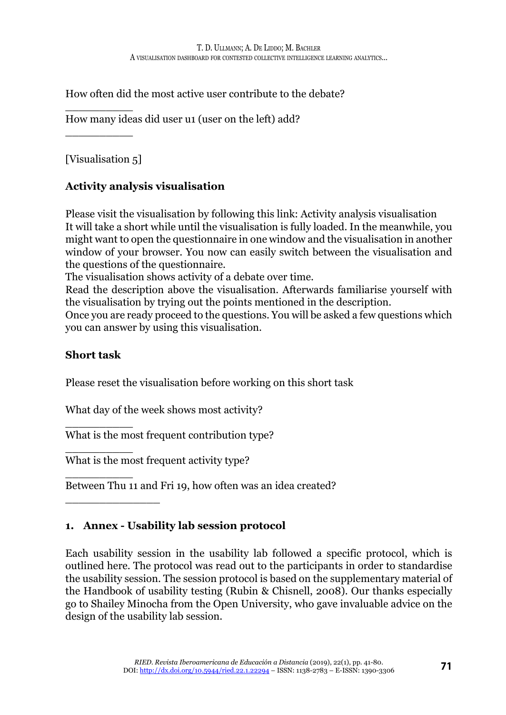How often did the most active user contribute to the debate?

 $\overline{\phantom{a}}$  , where  $\overline{\phantom{a}}$ How many ideas did user u1 (user on the left) add?

 $\overline{\phantom{a}}$  , where  $\overline{\phantom{a}}$ 

[Visualisation 5]

### **Activity analysis visualisation**

Please visit the visualisation by following this link: Activity analysis visualisation It will take a short while until the visualisation is fully loaded. In the meanwhile, you might want to open the questionnaire in one window and the visualisation in another window of your browser. You now can easily switch between the visualisation and the questions of the questionnaire.

The visualisation shows activity of a debate over time.

Read the description above the visualisation. Afterwards familiarise yourself with the visualisation by trying out the points mentioned in the description.

Once you are ready proceed to the questions. You will be asked a few questions which you can answer by using this visualisation.

### **Short task**

\_\_\_\_\_\_\_\_\_\_\_\_\_\_

Please reset the visualisation before working on this short task

What day of the week shows most activity?

\_\_\_\_\_\_\_\_\_\_ What is the most frequent contribution type?

\_\_\_\_\_\_\_\_\_\_ What is the most frequent activity type?

\_\_\_\_\_\_\_\_\_\_ Between Thu 11 and Fri 19, how often was an idea created?

### **1. Annex - Usability lab session protocol**

Each usability session in the usability lab followed a specific protocol, which is outlined here. The protocol was read out to the participants in order to standardise the usability session. The session protocol is based on the supplementary material of the Handbook of usability testing (Rubin & Chisnell, 2008). Our thanks especially go to Shailey Minocha from the Open University, who gave invaluable advice on the design of the usability lab session.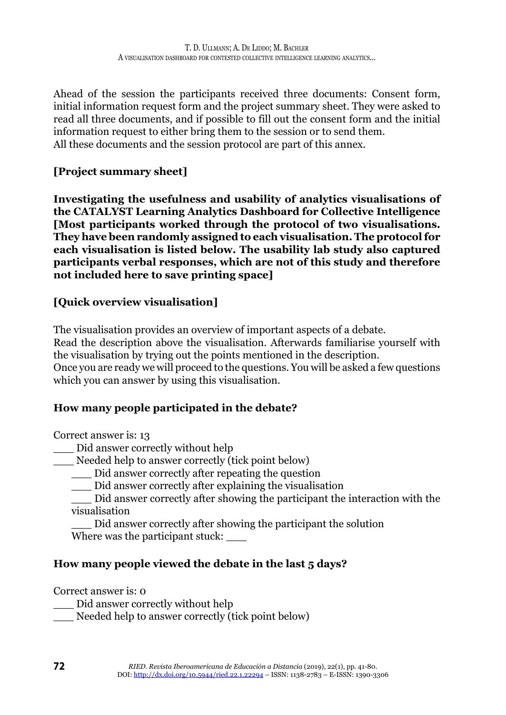Ahead of the session the participants received three documents: Consent form, initial information request form and the project summary sheet. They were asked to read all three documents, and if possible to fill out the consent form and the initial information request to either bring them to the session or to send them. All these documents and the session protocol are part of this annex.

### **[Project summary sheet]**

**Investigating the usefulness and usability of analytics visualisations of the CATALYST Learning Analytics Dashboard for Collective Intelligence [Most participants worked through the protocol of two visualisations. They have been randomly assigned to each visualisation. The protocol for each visualisation is listed below. The usability lab study also captured participants verbal responses, which are not of this study and therefore not included here to save printing space]**

#### **[Quick overview visualisation]**

The visualisation provides an overview of important aspects of a debate. Read the description above the visualisation. Afterwards familiarise yourself with the visualisation by trying out the points mentioned in the description. Once you are ready we will proceed to the questions. You will be asked a few questions which you can answer by using this visualisation.

#### **How many people participated in the debate?**

Correct answer is: 13

- \_\_\_ Did answer correctly without help
- \_\_\_ Needed help to answer correctly (tick point below)
	- Did answer correctly after repeating the question
	- \_\_\_ Did answer correctly after explaining the visualisation
	- \_\_\_ Did answer correctly after showing the participant the interaction with the visualisation
	- \_\_\_ Did answer correctly after showing the participant the solution

Where was the participant stuck:

### **How many people viewed the debate in the last 5 days?**

Correct answer is: 0

\_\_\_ Did answer correctly without help

\_\_\_ Needed help to answer correctly (tick point below)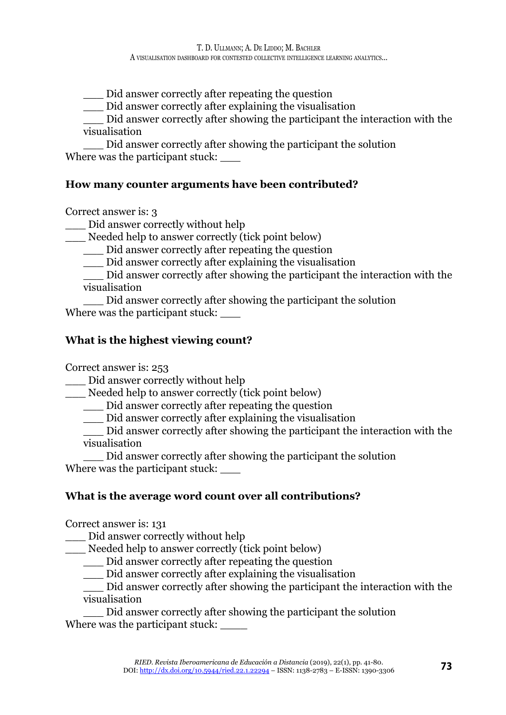\_\_\_ Did answer correctly after repeating the question

\_\_\_ Did answer correctly after explaining the visualisation

\_\_\_ Did answer correctly after showing the participant the interaction with the visualisation

\_\_\_ Did answer correctly after showing the participant the solution Where was the participant stuck:

### **How many counter arguments have been contributed?**

Correct answer is: 3

\_\_\_ Did answer correctly without help

Needed help to answer correctly (tick point below)

\_\_\_ Did answer correctly after repeating the question

\_\_\_ Did answer correctly after explaining the visualisation

\_\_\_ Did answer correctly after showing the participant the interaction with the visualisation

\_\_\_ Did answer correctly after showing the participant the solution Where was the participant stuck: \_\_\_\_\_

### **What is the highest viewing count?**

Correct answer is: 253

\_\_\_ Did answer correctly without help

\_\_\_ Needed help to answer correctly (tick point below)

\_\_\_ Did answer correctly after repeating the question

\_\_\_ Did answer correctly after explaining the visualisation

\_\_\_ Did answer correctly after showing the participant the interaction with the visualisation

\_\_\_ Did answer correctly after showing the participant the solution Where was the participant stuck:

### **What is the average word count over all contributions?**

Correct answer is: 131

\_\_\_ Did answer correctly without help

\_\_\_ Needed help to answer correctly (tick point below)

\_\_\_ Did answer correctly after repeating the question

\_\_\_ Did answer correctly after explaining the visualisation

\_\_\_ Did answer correctly after showing the participant the interaction with the visualisation

\_\_\_ Did answer correctly after showing the participant the solution Where was the participant stuck: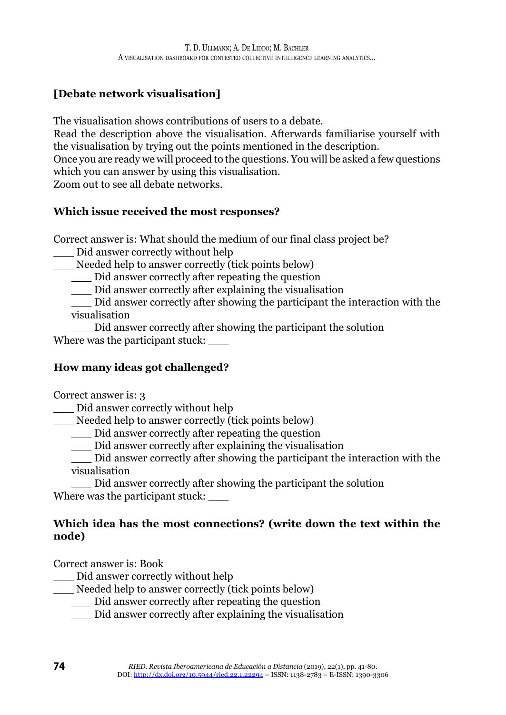### **[Debate network visualisation]**

The visualisation shows contributions of users to a debate.

Read the description above the visualisation. Afterwards familiarise yourself with the visualisation by trying out the points mentioned in the description.

Once you are ready we will proceed to the questions. You will be asked a few questions which you can answer by using this visualisation.

Zoom out to see all debate networks.

#### **Which issue received the most responses?**

Correct answer is: What should the medium of our final class project be?

\_\_\_ Did answer correctly without help

Needed help to answer correctly (tick points below)

\_\_\_ Did answer correctly after repeating the question

\_\_\_ Did answer correctly after explaining the visualisation

\_\_\_ Did answer correctly after showing the participant the interaction with the visualisation

\_\_\_ Did answer correctly after showing the participant the solution Where was the participant stuck:

### **How many ideas got challenged?**

Correct answer is: 3

\_\_\_ Did answer correctly without help

Needed help to answer correctly (tick points below)

\_\_\_ Did answer correctly after repeating the question

\_\_\_ Did answer correctly after explaining the visualisation

\_\_\_ Did answer correctly after showing the participant the interaction with the visualisation

\_\_\_ Did answer correctly after showing the participant the solution Where was the participant stuck: \_\_\_\_

#### **Which idea has the most connections? (write down the text within the node)**

Correct answer is: Book

\_\_\_ Did answer correctly without help

- \_\_\_ Needed help to answer correctly (tick points below)
	- \_\_\_ Did answer correctly after repeating the question

\_\_\_ Did answer correctly after explaining the visualisation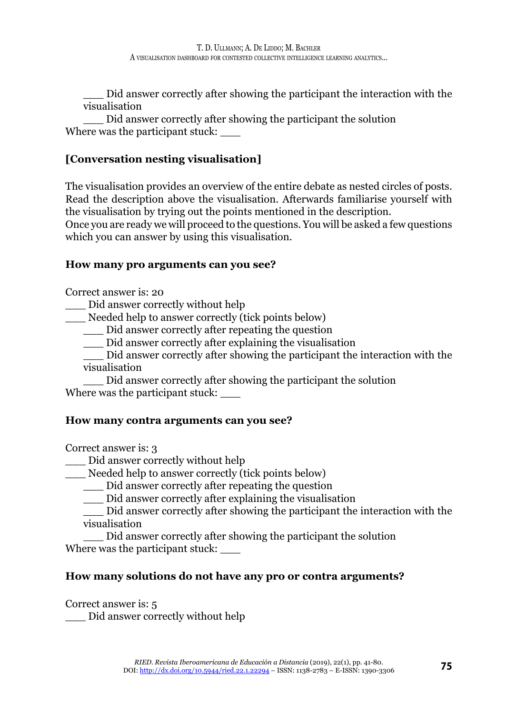\_\_\_ Did answer correctly after showing the participant the interaction with the visualisation

\_\_\_ Did answer correctly after showing the participant the solution Where was the participant stuck: \_\_\_\_\_

### **[Conversation nesting visualisation]**

The visualisation provides an overview of the entire debate as nested circles of posts. Read the description above the visualisation. Afterwards familiarise yourself with the visualisation by trying out the points mentioned in the description. Once you are ready we will proceed to the questions. You will be asked a few questions which you can answer by using this visualisation.

#### **How many pro arguments can you see?**

Correct answer is: 20

\_\_\_ Did answer correctly without help

\_\_\_ Needed help to answer correctly (tick points below)

\_\_\_ Did answer correctly after repeating the question

\_\_\_ Did answer correctly after explaining the visualisation

\_\_\_ Did answer correctly after showing the participant the interaction with the visualisation

\_\_\_ Did answer correctly after showing the participant the solution Where was the participant stuck:

#### **How many contra arguments can you see?**

Correct answer is: 3

\_\_\_ Did answer correctly without help

Needed help to answer correctly (tick points below)

- \_\_\_ Did answer correctly after repeating the question
- \_\_\_ Did answer correctly after explaining the visualisation

\_\_\_ Did answer correctly after showing the participant the interaction with the visualisation

Did answer correctly after showing the participant the solution Where was the participant stuck: \_\_\_\_\_

#### **How many solutions do not have any pro or contra arguments?**

Correct answer is: 5

\_\_\_ Did answer correctly without help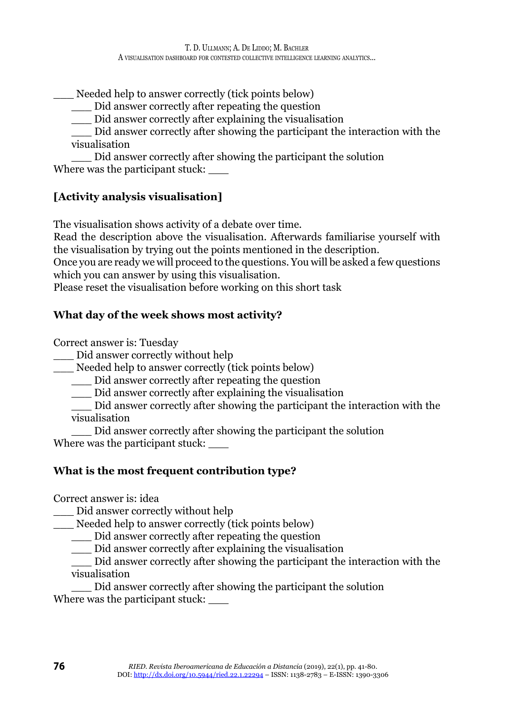Needed help to answer correctly (tick points below)

\_\_\_ Did answer correctly after repeating the question

\_\_\_ Did answer correctly after explaining the visualisation

\_\_\_ Did answer correctly after showing the participant the interaction with the visualisation

Did answer correctly after showing the participant the solution Where was the participant stuck:

## **[Activity analysis visualisation]**

The visualisation shows activity of a debate over time.

Read the description above the visualisation. Afterwards familiarise yourself with the visualisation by trying out the points mentioned in the description.

Once you are ready we will proceed to the questions. You will be asked a few questions which you can answer by using this visualisation.

Please reset the visualisation before working on this short task

### **What day of the week shows most activity?**

Correct answer is: Tuesday

\_\_\_ Did answer correctly without help

Needed help to answer correctly (tick points below)

\_\_\_ Did answer correctly after repeating the question

\_\_\_ Did answer correctly after explaining the visualisation

\_\_\_ Did answer correctly after showing the participant the interaction with the visualisation

\_\_\_ Did answer correctly after showing the participant the solution Where was the participant stuck:

### **What is the most frequent contribution type?**

Correct answer is: idea

\_\_\_ Did answer correctly without help

\_\_\_ Needed help to answer correctly (tick points below)

\_\_\_ Did answer correctly after repeating the question

\_\_\_ Did answer correctly after explaining the visualisation

\_\_\_ Did answer correctly after showing the participant the interaction with the visualisation

\_\_\_ Did answer correctly after showing the participant the solution Where was the participant stuck: \_\_\_\_\_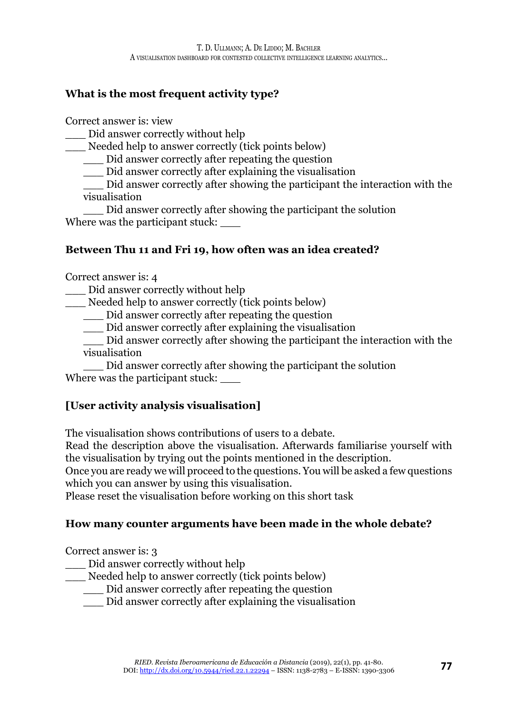### **What is the most frequent activity type?**

Correct answer is: view

\_\_\_ Did answer correctly without help

Needed help to answer correctly (tick points below)

\_\_\_ Did answer correctly after repeating the question

\_\_\_ Did answer correctly after explaining the visualisation

\_\_\_ Did answer correctly after showing the participant the interaction with the visualisation

\_\_\_ Did answer correctly after showing the participant the solution Where was the participant stuck:

#### **Between Thu 11 and Fri 19, how often was an idea created?**

Correct answer is: 4

\_\_\_ Did answer correctly without help

Needed help to answer correctly (tick points below)

\_\_\_ Did answer correctly after repeating the question

\_\_\_ Did answer correctly after explaining the visualisation

\_\_\_ Did answer correctly after showing the participant the interaction with the visualisation

\_\_\_ Did answer correctly after showing the participant the solution Where was the participant stuck:

### **[User activity analysis visualisation]**

The visualisation shows contributions of users to a debate.

Read the description above the visualisation. Afterwards familiarise yourself with the visualisation by trying out the points mentioned in the description.

Once you are ready we will proceed to the questions. You will be asked a few questions which you can answer by using this visualisation.

Please reset the visualisation before working on this short task

### **How many counter arguments have been made in the whole debate?**

Correct answer is: 3

- \_\_\_ Did answer correctly without help
- \_\_\_ Needed help to answer correctly (tick points below)

\_\_\_ Did answer correctly after repeating the question

\_\_\_ Did answer correctly after explaining the visualisation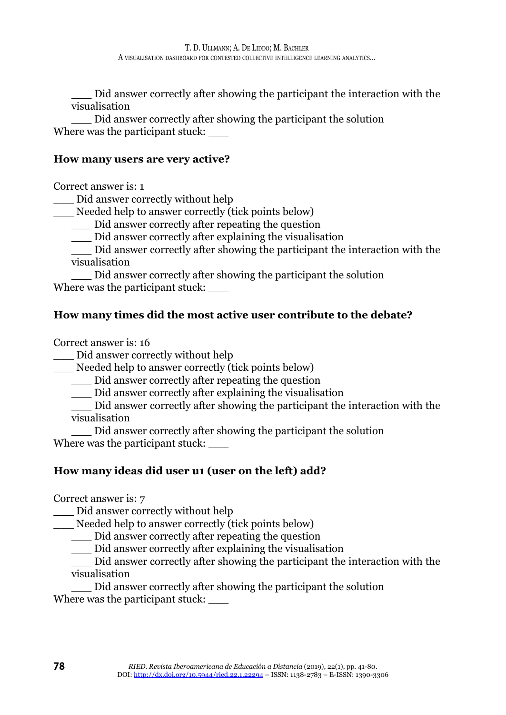\_\_\_ Did answer correctly after showing the participant the interaction with the visualisation

\_\_\_ Did answer correctly after showing the participant the solution Where was the participant stuck: \_\_\_\_

#### **How many users are very active?**

Correct answer is: 1

\_\_\_ Did answer correctly without help

\_\_\_ Needed help to answer correctly (tick points below)

\_\_\_ Did answer correctly after repeating the question

\_\_\_ Did answer correctly after explaining the visualisation

\_\_\_ Did answer correctly after showing the participant the interaction with the visualisation

Did answer correctly after showing the participant the solution Where was the participant stuck: \_\_\_\_

### **How many times did the most active user contribute to the debate?**

Correct answer is: 16

\_\_\_ Did answer correctly without help

Needed help to answer correctly (tick points below)

\_\_\_ Did answer correctly after repeating the question

\_\_\_ Did answer correctly after explaining the visualisation

\_\_\_ Did answer correctly after showing the participant the interaction with the visualisation

\_\_\_ Did answer correctly after showing the participant the solution Where was the participant stuck:

### **How many ideas did user u1 (user on the left) add?**

Correct answer is: 7

\_\_\_ Did answer correctly without help

\_\_\_ Needed help to answer correctly (tick points below)

\_\_\_ Did answer correctly after repeating the question

\_\_\_ Did answer correctly after explaining the visualisation

\_\_\_ Did answer correctly after showing the participant the interaction with the visualisation

\_\_\_ Did answer correctly after showing the participant the solution Where was the participant stuck: \_\_\_\_\_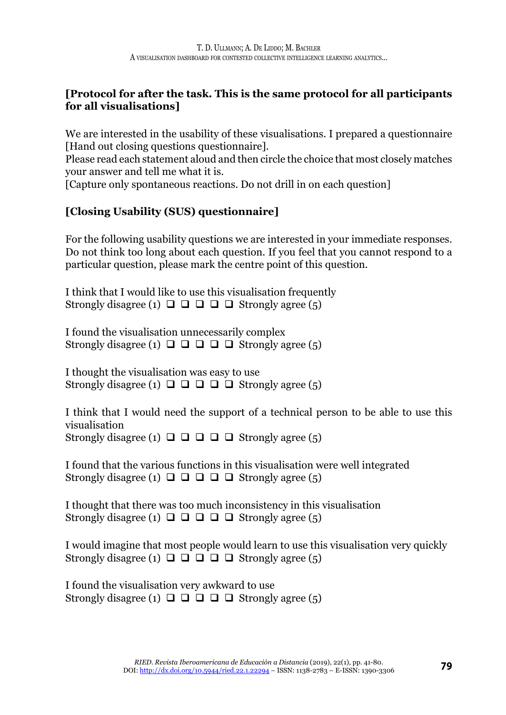#### **[Protocol for after the task. This is the same protocol for all participants for all visualisations]**

We are interested in the usability of these visualisations. I prepared a questionnaire [Hand out closing questions questionnaire].

Please read each statement aloud and then circle the choice that most closely matches your answer and tell me what it is.

[Capture only spontaneous reactions. Do not drill in on each question]

### **[Closing Usability (SUS) questionnaire]**

For the following usability questions we are interested in your immediate responses. Do not think too long about each question. If you feel that you cannot respond to a particular question, please mark the centre point of this question.

I think that I would like to use this visualisation frequently Strongly disagree (1)  $\Box$   $\Box$   $\Box$   $\Box$  Strongly agree (5)

I found the visualisation unnecessarily complex Strongly disagree (1)  $\Box$   $\Box$   $\Box$   $\Box$  Strongly agree (5)

I thought the visualisation was easy to use Strongly disagree (1)  $\Box$   $\Box$   $\Box$   $\Box$  Strongly agree (5)

I think that I would need the support of a technical person to be able to use this visualisation Strongly disagree (1)  $\Box$   $\Box$   $\Box$   $\Box$  Strongly agree (5)

I found that the various functions in this visualisation were well integrated Strongly disagree (1)  $\Box$   $\Box$   $\Box$   $\Box$   $\Box$  Strongly agree (5)

I thought that there was too much inconsistency in this visualisation Strongly disagree (1)  $\Box$   $\Box$   $\Box$   $\Box$  Strongly agree (5)

I would imagine that most people would learn to use this visualisation very quickly Strongly disagree (1)  $\Box$   $\Box$   $\Box$   $\Box$  Strongly agree (5)

I found the visualisation very awkward to use Strongly disagree (1)  $\Box$   $\Box$   $\Box$   $\Box$  Strongly agree (5)